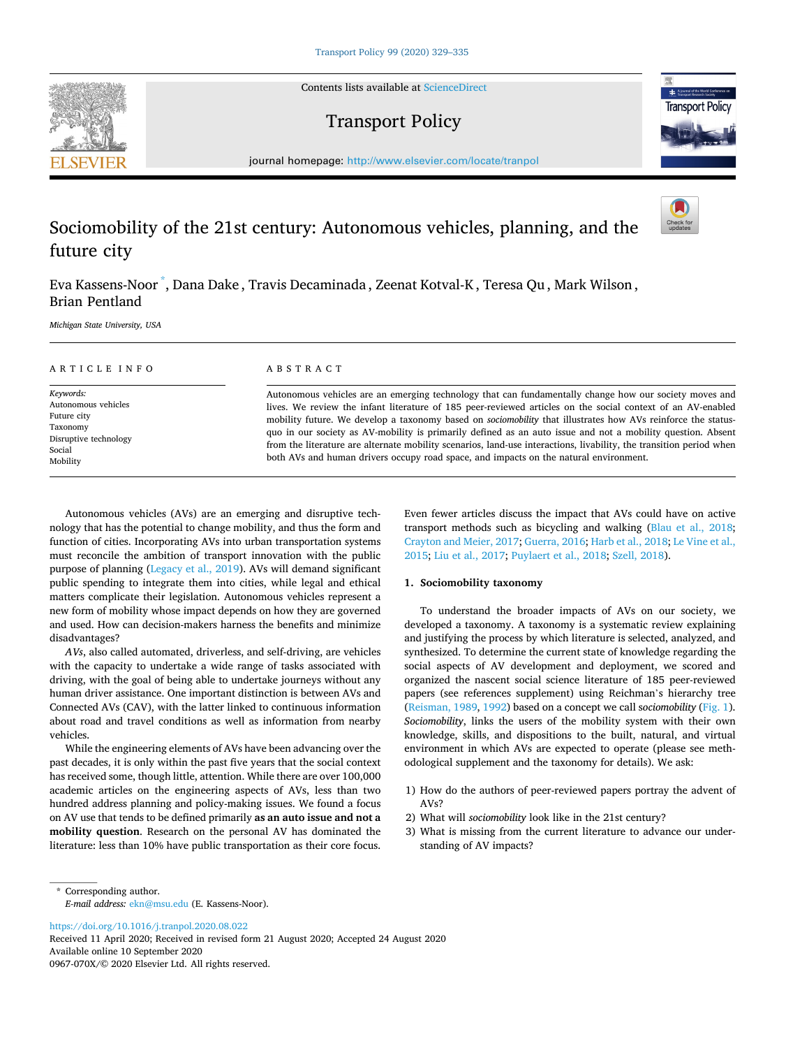Contents lists available at [ScienceDirect](www.sciencedirect.com/science/journal/0967070X)





journal homepage: [http://www.elsevier.com/locate/tranpol](https://http://www.elsevier.com/locate/tranpol) 

# Sociomobility of the 21st century: Autonomous vehicles, planning, and the future city

Eva Kassens-Noor \* , Dana Dake , Travis Decaminada , Zeenat Kotval-K , Teresa Qu , Mark Wilson , Brian Pentland

*Michigan State University, USA* 

| ARTICLE INFO                                                                                               | ABSTRACT                                                                                                                                                                                                                                                                                                                                                                                                                                                                                                                                                                                                                                                                    |
|------------------------------------------------------------------------------------------------------------|-----------------------------------------------------------------------------------------------------------------------------------------------------------------------------------------------------------------------------------------------------------------------------------------------------------------------------------------------------------------------------------------------------------------------------------------------------------------------------------------------------------------------------------------------------------------------------------------------------------------------------------------------------------------------------|
| Keywords:<br>Autonomous vehicles<br>Future city<br>Taxonomy<br>Disruptive technology<br>Social<br>Mobility | Autonomous vehicles are an emerging technology that can fundamentally change how our society moves and<br>lives. We review the infant literature of 185 peer-reviewed articles on the social context of an AV-enabled<br>mobility future. We develop a taxonomy based on <i>sociomobility</i> that illustrates how AVs reinforce the status-<br>quo in our society as AV-mobility is primarily defined as an auto issue and not a mobility question. Absent<br>from the literature are alternate mobility scenarios, land-use interactions, livability, the transition period when<br>both AVs and human drivers occupy road space, and impacts on the natural environment. |

Autonomous vehicles (AVs) are an emerging and disruptive technology that has the potential to change mobility, and thus the form and function of cities. Incorporating AVs into urban transportation systems must reconcile the ambition of transport innovation with the public purpose of planning [\(Legacy et al., 2019](#page-5-0)). AVs will demand significant public spending to integrate them into cities, while legal and ethical matters complicate their legislation. Autonomous vehicles represent a new form of mobility whose impact depends on how they are governed and used. How can decision-makers harness the benefits and minimize disadvantages?

*AVs*, also called automated, driverless, and self-driving, are vehicles with the capacity to undertake a wide range of tasks associated with driving, with the goal of being able to undertake journeys without any human driver assistance. One important distinction is between AVs and Connected AVs (CAV), with the latter linked to continuous information about road and travel conditions as well as information from nearby vehicles.

While the engineering elements of AVs have been advancing over the past decades, it is only within the past five years that the social context has received some, though little, attention. While there are over 100,000 academic articles on the engineering aspects of AVs, less than two hundred address planning and policy-making issues. We found a focus on AV use that tends to be defined primarily **as an auto issue and not a mobility question**. Research on the personal AV has dominated the literature: less than 10% have public transportation as their core focus. Even fewer articles discuss the impact that AVs could have on active transport methods such as bicycling and walking [\(Blau et al., 2018](#page-3-0); [Crayton and Meier, 2017; Guerra, 2016; Harb et al., 2018](#page-4-0); [Le Vine et al.,](#page-4-0)  [2015;](#page-4-0) [Liu et al., 2017;](#page-5-0) [Puylaert et al., 2018;](#page-5-0) [Szell, 2018](#page-6-0)).

# **1. Sociomobility taxonomy**

To understand the broader impacts of AVs on our society, we developed a taxonomy. A taxonomy is a systematic review explaining and justifying the process by which literature is selected, analyzed, and synthesized. To determine the current state of knowledge regarding the social aspects of AV development and deployment, we scored and organized the nascent social science literature of 185 peer-reviewed papers (see references supplement) using Reichman's hierarchy tree ([Reisman, 1989, 1992](#page-5-0)) based on a concept we call s*ociomobility* ([Fig. 1](#page-1-0)). *Sociomobility*, links the users of the mobility system with their own knowledge, skills, and dispositions to the built, natural, and virtual environment in which AVs are expected to operate (please see methodological supplement and the taxonomy for details). We ask:

- 1) How do the authors of peer-reviewed papers portray the advent of AVs?
- 2) What will *sociomobility* look like in the 21st century?
- 3) What is missing from the current literature to advance our understanding of AV impacts?

\* Corresponding author. *E-mail address:* [ekn@msu.edu](mailto:ekn@msu.edu) (E. Kassens-Noor).

<https://doi.org/10.1016/j.tranpol.2020.08.022>

Available online 10 September 2020 0967-070X/© 2020 Elsevier Ltd. All rights reserved. Received 11 April 2020; Received in revised form 21 August 2020; Accepted 24 August 2020

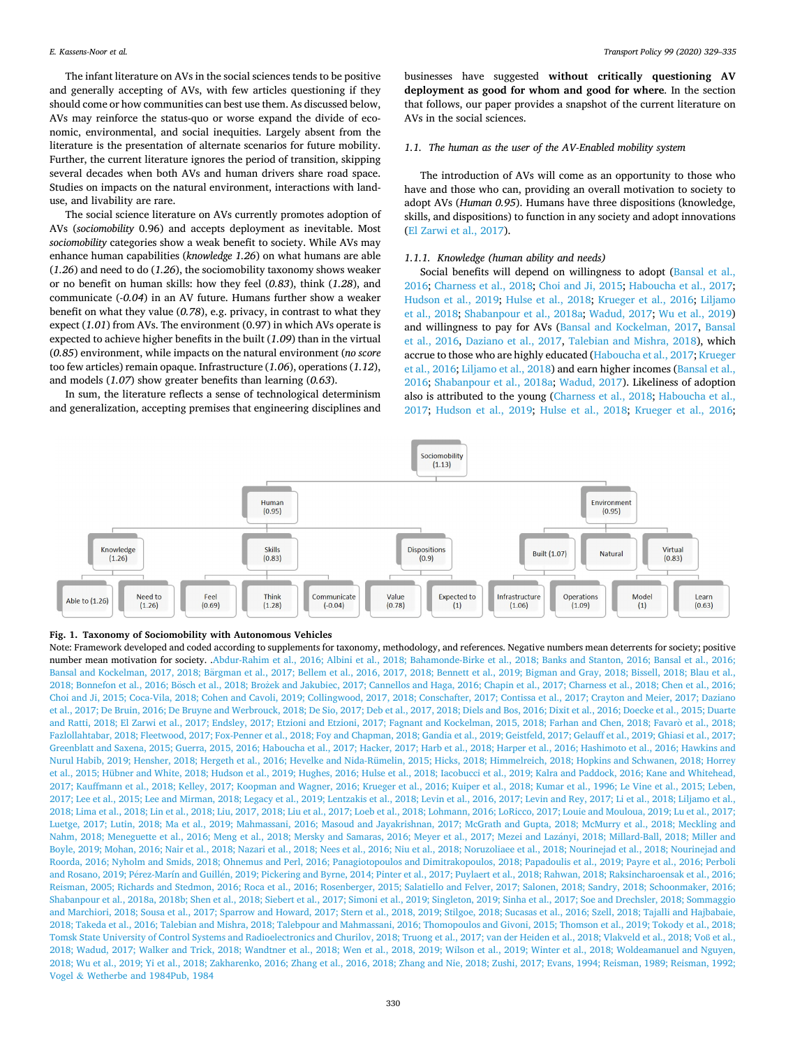<span id="page-1-0"></span>The infant literature on AVs in the social sciences tends to be positive and generally accepting of AVs, with few articles questioning if they should come or how communities can best use them. As discussed below, AVs may reinforce the status-quo or worse expand the divide of economic, environmental, and social inequities. Largely absent from the literature is the presentation of alternate scenarios for future mobility. Further, the current literature ignores the period of transition, skipping several decades when both AVs and human drivers share road space. Studies on impacts on the natural environment, interactions with landuse, and livability are rare.

The social science literature on AVs currently promotes adoption of AVs (*sociomobility* 0.96) and accepts deployment as inevitable. Most *sociomobility* categories show a weak benefit to society. While AVs may enhance human capabilities (*knowledge 1.26*) on what humans are able (*1.26*) and need to do (*1.26*), the sociomobility taxonomy shows weaker or no benefit on human skills: how they feel (*0.83*), think (*1.28*), and communicate (*-0.04*) in an AV future. Humans further show a weaker benefit on what they value (*0.78*), e.g. privacy, in contrast to what they expect (*1.01*) from AVs. The environment (0.97) in which AVs operate is expected to achieve higher benefits in the built (*1.09*) than in the virtual (*0.85*) environment, while impacts on the natural environment (*no score*  too few articles) remain opaque. Infrastructure (*1.06*), operations (*1.12*), and models (*1.07*) show greater benefits than learning (*0.63*).

In sum, the literature reflects a sense of technological determinism and generalization, accepting premises that engineering disciplines and businesses have suggested **without critically questioning AV deployment as good for whom and good for where**. In the section that follows, our paper provides a snapshot of the current literature on AVs in the social sciences.

# *1.1. The human as the user of the AV-Enabled mobility system*

The introduction of AVs will come as an opportunity to those who have and those who can, providing an overall motivation to society to adopt AVs (*Human 0.95*). Humans have three dispositions (knowledge, skills, and dispositions) to function in any society and adopt innovations ([El Zarwi et al., 2017](#page-4-0)).

## *1.1.1. Knowledge (human ability and needs)*

Social benefits will depend on willingness to adopt ([Bansal et al.,](#page-3-0)  [2016;](#page-3-0) [Charness et al., 2018;](#page-4-0) [Choi and Ji, 2015](#page-4-0); [Haboucha et al., 2017](#page-4-0); [Hudson et al., 2019](#page-4-0); [Hulse et al., 2018](#page-4-0); [Krueger et al., 2016;](#page-4-0) [Liljamo](#page-5-0)  [et al., 2018](#page-5-0); [Shabanpour et al., 2018a;](#page-5-0) [Wadud, 2017](#page-6-0); [Wu et al., 2019\)](#page-6-0) and willingness to pay for AVs ([Bansal and Kockelman, 2017](#page-3-0), [Bansal](#page-3-0)  [et al., 2016,](#page-3-0) [Daziano et al., 2017,](#page-4-0) [Talebian and Mishra, 2018\)](#page-6-0), which accrue to those who are highly educated [\(Haboucha et al., 2017; Krueger](#page-4-0)  [et al., 2016;](#page-4-0) [Liljamo et al., 2018\)](#page-5-0) and earn higher incomes [\(Bansal et al.,](#page-3-0)  [2016;](#page-3-0) [Shabanpour et al., 2018a](#page-5-0); [Wadud, 2017\)](#page-6-0). Likeliness of adoption also is attributed to the young ([Charness et al., 2018; Haboucha et al.,](#page-4-0)  [2017;](#page-4-0) [Hudson et al., 2019;](#page-4-0) [Hulse et al., 2018;](#page-4-0) [Krueger et al., 2016](#page-4-0);



# **Fig. 1. Taxonomy of Sociomobility with Autonomous Vehicles**

Note: Framework developed and coded according to supplements for taxonomy, methodology, and references. Negative numbers mean deterrents for society; positive number mean motivation for society. [.Abdur-Rahim et al., 2016; Albini et al., 2018; Bahamonde-Birke et al., 2018; Banks and Stanton, 2016; Bansal et al., 2016;](#page-3-0)  Bansal and Kockelman, 2017, 2018; Bärgman et al., 2017; Bellem et al., 2016, 2017, 2018; Bennett et al., 2019; Bigman and Gray, 2018; Bissell, 2018; Blau et al., 2018; Bonnefon et al., 2016; Bösch et al., 2018; Brozek and Jakubiec, 2017; Cannellos and Haga, 2016; Chapin et al., 2017; Charness et al., 2018; Chen et al., 2016; [Choi and Ji, 2015; Coca-Vila, 2018; Cohen and Cavoli, 2019; Collingwood, 2017, 2018; Conschafter, 2017; Contissa et al., 2017; Crayton and Meier, 2017; Daziano](#page-3-0)  [et al., 2017; De Bruin, 2016; De Bruyne and Werbrouck, 2018; De Sio, 2017; Deb et al., 2017, 2018; Diels and Bos, 2016; Dixit et al., 2016; Doecke et al., 2015; Duarte](#page-3-0)  and Ratti, 2018; El Zarwi et al., 2017; Endsley, 2017; Etzioni and Etzioni, 2017; Fagnant and Kockelman, 2015, 2018; Farhan and Chen, 2018; Favarò et al., 2018; [Fazlollahtabar, 2018; Fleetwood, 2017; Fox-Penner et al., 2018; Foy and Chapman, 2018; Gandia et al., 2019; Geistfeld, 2017; Gelauff et al., 2019; Ghiasi et al., 2017;](#page-3-0)  [Greenblatt and Saxena, 2015; Guerra, 2015, 2016; Haboucha et al., 2017; Hacker, 2017; Harb et al., 2018; Harper et al., 2016; Hashimoto et al., 2016; Hawkins and](#page-3-0)  [Nurul Habib, 2019; Hensher, 2018; Hergeth et al., 2016; Hevelke and Nida-Rümelin, 2015; Hicks, 2018; Himmelreich, 2018; Hopkins and Schwanen, 2018; Horrey](#page-3-0)  [et al., 2015; Hübner and White, 2018; Hudson et al., 2019; Hughes, 2016; Hulse et al., 2018; Iacobucci et al., 2019; Kalra and Paddock, 2016; Kane and Whitehead,](#page-3-0)  [2017; Kauffmann et al., 2018; Kelley, 2017; Koopman and Wagner, 2016; Krueger et al., 2016; Kuiper et al., 2018; Kumar et al., 1996; Le Vine et al., 2015; Leben,](#page-3-0)  [2017; Lee et al., 2015; Lee and Mirman, 2018; Legacy et al., 2019; Lentzakis et al., 2018; Levin et al., 2016, 2017; Levin and Rey, 2017; Li et al., 2018; Liljamo et al.,](#page-3-0)  [2018; Lima et al., 2018; Lin et al., 2018; Liu, 2017, 2018; Liu et al., 2017; Loeb et al., 2018; Lohmann, 2016; LoRicco, 2017; Louie and Mouloua, 2019; Lu et al., 2017;](#page-3-0)  [Luetge, 2017; Lutin, 2018; Ma et al., 2019; Mahmassani, 2016; Masoud and Jayakrishnan, 2017; McGrath and Gupta, 2018; McMurry et al., 2018; Meckling and](#page-3-0)  Nahm, 2018; Meneguette et al., 2016; Meng et al., 2018; Mersky and Samaras, 2016; Meyer et al., 2017; Mezei and Lazányi, 2018; Millard-Ball, 2018; Miller and Boyle, 2019; Mohan, 2016; Nair et al., 2018; Nazari et al., 2018; Nees et al., 2016; Niu et al., 2018; Noruzoliaee et al., 2018; Nourinejad et al., 2018; Nourinejad and [Roorda, 2016; Nyholm and Smids, 2018; Ohnemus and Perl, 2016; Panagiotopoulos and Dimitrakopoulos, 2018; Papadoulis et al., 2019; Payre et al., 2016; Perboli](#page-3-0)  and Rosano, 2019; Pérez-Marín and Guillén, 2019; Pickering and Byrne, 2014; Pinter et al., 2017; Puylaert et al., 2018; Rahwan, 2018; Raksincharoensak et al., 2016; [Reisman, 2005; Richards and Stedmon, 2016; Roca et al., 2016; Rosenberger, 2015; Salatiello and Felver, 2017; Salonen, 2018; Sandry, 2018; Schoonmaker, 2016;](#page-3-0)  [Shabanpour et al., 2018a, 2018b; Shen et al., 2018; Siebert et al., 2017; Simoni et al., 2019; Singleton, 2019; Sinha et al., 2017; Soe and Drechsler, 2018; Sommaggio](#page-3-0)  [and Marchiori, 2018; Sousa et al., 2017; Sparrow and Howard, 2017; Stern et al., 2018, 2019; Stilgoe, 2018; Sucasas et al., 2016; Szell, 2018; Tajalli and Hajbabaie,](#page-3-0)  [2018; Takeda et al., 2016; Talebian and Mishra, 2018; Talebpour and Mahmassani, 2016; Thomopoulos and Givoni, 2015; Thomson et al., 2019; Tokody et al., 2018;](#page-3-0)  [Tomsk State University of Control Systems and Radioelectronics and Churilov, 2018; Truong et al., 2017; van der Heiden et al., 2018; Vlakveld et al., 2018; Vo](#page-3-0)ß et al., [2018; Wadud, 2017; Walker and Trick, 2018; Wandtner et al., 2018; Wen et al., 2018, 2019; Wilson et al., 2019; Winter et al., 2018; Woldeamanuel and Nguyen,](#page-3-0)  [2018; Wu et al., 2019; Yi et al., 2018; Zakharenko, 2016; Zhang et al., 2016, 2018; Zhang and Nie, 2018; Zushi, 2017; Evans, 1994; Reisman, 1989; Reisman, 1992;](#page-3-0)  Vogel & [Wetherbe and 1984Pub, 1984](#page-3-0)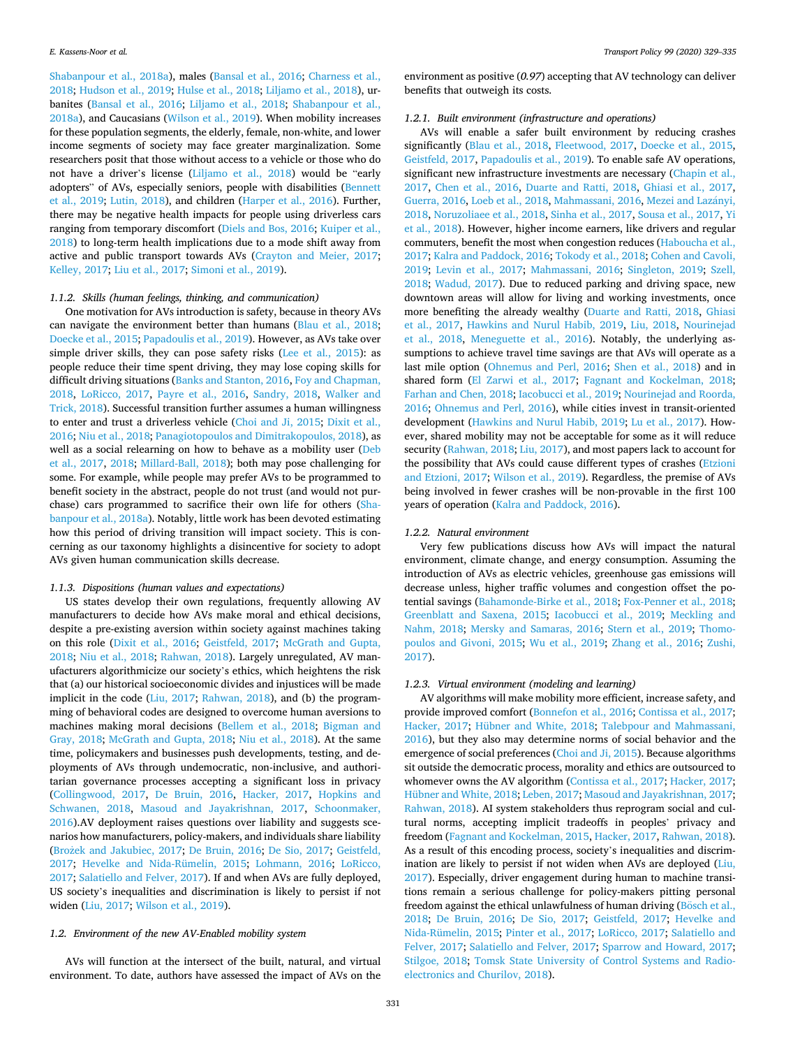[Shabanpour et al., 2018a\)](#page-5-0), males [\(Bansal et al., 2016;](#page-3-0) [Charness et al.,](#page-4-0)  [2018; Hudson et al., 2019; Hulse et al., 2018](#page-4-0); [Liljamo et al., 2018\)](#page-5-0), urbanites [\(Bansal et al., 2016](#page-3-0); [Liljamo et al., 2018](#page-5-0); [Shabanpour et al.,](#page-5-0)  [2018a\)](#page-5-0), and Caucasians ([Wilson et al., 2019\)](#page-6-0). When mobility increases for these population segments, the elderly, female, non-white, and lower income segments of society may face greater marginalization. Some researchers posit that those without access to a vehicle or those who do not have a driver's license ([Liljamo et al., 2018](#page-5-0)) would be "early adopters" of AVs, especially seniors, people with disabilities ([Bennett](#page-3-0)  [et al., 2019;](#page-3-0) [Lutin, 2018](#page-5-0)), and children ([Harper et al., 2016](#page-4-0)). Further, there may be negative health impacts for people using driverless cars ranging from temporary discomfort [\(Diels and Bos, 2016](#page-4-0); [Kuiper et al.,](#page-4-0)  [2018\)](#page-4-0) to long-term health implications due to a mode shift away from active and public transport towards AVs ([Crayton and Meier, 2017](#page-4-0); [Kelley, 2017](#page-4-0); [Liu et al., 2017](#page-5-0); [Simoni et al., 2019](#page-5-0)).

# *1.1.2. Skills (human feelings, thinking, and communication)*

One motivation for AVs introduction is safety, because in theory AVs can navigate the environment better than humans ([Blau et al., 2018](#page-3-0); [Doecke et al., 2015](#page-4-0); [Papadoulis et al., 2019](#page-5-0)). However, as AVs take over simple driver skills, they can pose safety risks [\(Lee et al., 2015\)](#page-5-0): as people reduce their time spent driving, they may lose coping skills for difficult driving situations [\(Banks and Stanton, 2016,](#page-3-0) [Foy and Chapman,](#page-4-0)  [2018,](#page-4-0) [LoRicco, 2017](#page-5-0), [Payre et al., 2016](#page-5-0), [Sandry, 2018,](#page-5-0) [Walker and](#page-6-0)  [Trick, 2018](#page-6-0)). Successful transition further assumes a human willingness to enter and trust a driverless vehicle ([Choi and Ji, 2015](#page-4-0); [Dixit et al.,](#page-4-0)  [2016;](#page-4-0) [Niu et al., 2018; Panagiotopoulos and Dimitrakopoulos, 2018](#page-5-0)), as well as a social relearning on how to behave as a mobility user ([Deb](#page-4-0)  [et al., 2017,](#page-4-0) [2018;](#page-4-0) [Millard-Ball, 2018\)](#page-5-0); both may pose challenging for some. For example, while people may prefer AVs to be programmed to benefit society in the abstract, people do not trust (and would not purchase) cars programmed to sacrifice their own life for others [\(Sha](#page-5-0)[banpour et al., 2018a](#page-5-0)). Notably, little work has been devoted estimating how this period of driving transition will impact society. This is concerning as our taxonomy highlights a disincentive for society to adopt AVs given human communication skills decrease.

# *1.1.3. Dispositions (human values and expectations)*

US states develop their own regulations, frequently allowing AV manufacturers to decide how AVs make moral and ethical decisions, despite a pre-existing aversion within society against machines taking on this role [\(Dixit et al., 2016;](#page-4-0) [Geistfeld, 2017](#page-4-0); [McGrath and Gupta,](#page-5-0)  [2018; Niu et al., 2018;](#page-5-0) [Rahwan, 2018](#page-5-0)). Largely unregulated, AV manufacturers algorithmicize our society's ethics, which heightens the risk that (a) our historical socioeconomic divides and injustices will be made implicit in the code ([Liu, 2017](#page-5-0); [Rahwan, 2018\)](#page-5-0), and (b) the programming of behavioral codes are designed to overcome human aversions to machines making moral decisions ([Bellem et al., 2018;](#page-3-0) [Bigman and](#page-3-0)  [Gray, 2018;](#page-3-0) [McGrath and Gupta, 2018](#page-5-0); [Niu et al., 2018\)](#page-5-0). At the same time, policymakers and businesses push developments, testing, and deployments of AVs through undemocratic, non-inclusive, and authoritarian governance processes accepting a significant loss in privacy ([Collingwood, 2017](#page-4-0), [De Bruin, 2016,](#page-4-0) [Hacker, 2017](#page-4-0), [Hopkins and](#page-4-0)  [Schwanen, 2018](#page-4-0), [Masoud and Jayakrishnan, 2017,](#page-5-0) [Schoonmaker,](#page-5-0)  [2016\)](#page-5-0).AV deployment raises questions over liability and suggests scenarios how manufacturers, policy-makers, and individuals share liability (Brożek [and Jakubiec, 2017](#page-3-0); [De Bruin, 2016](#page-4-0); [De Sio, 2017](#page-4-0); Geistfeld, [2017;](#page-4-0) [Hevelke and Nida-Rümelin, 2015](#page-4-0); [Lohmann, 2016;](#page-5-0) [LoRicco,](#page-5-0)  [2017; Salatiello and Felver, 2017\)](#page-5-0). If and when AVs are fully deployed, US society's inequalities and discrimination is likely to persist if not widen ([Liu, 2017](#page-5-0); [Wilson et al., 2019\)](#page-6-0).

# *1.2. Environment of the new AV-Enabled mobility system*

AVs will function at the intersect of the built, natural, and virtual environment. To date, authors have assessed the impact of AVs on the

environment as positive (*0.97*) accepting that AV technology can deliver benefits that outweigh its costs.

## *1.2.1. Built environment (infrastructure and operations)*

AVs will enable a safer built environment by reducing crashes significantly ([Blau et al., 2018,](#page-3-0) [Fleetwood, 2017,](#page-4-0) [Doecke et al., 2015](#page-4-0), [Geistfeld, 2017](#page-4-0), [Papadoulis et al., 2019](#page-5-0)). To enable safe AV operations, significant new infrastructure investments are necessary (Chapin et al., [2017,](#page-4-0) [Chen et al., 2016](#page-4-0), [Duarte and Ratti, 2018,](#page-4-0) [Ghiasi et al., 2017](#page-4-0), [Guerra, 2016](#page-4-0), [Loeb et al., 2018, Mahmassani, 2016](#page-5-0), Mezei and Lazányi, [2018, Noruzoliaee et al., 2018](#page-5-0), [Sinha et al., 2017](#page-6-0), [Sousa et al., 2017, Yi](#page-6-0)  [et al., 2018\)](#page-6-0). However, higher income earners, like drivers and regular commuters, benefit the most when congestion reduces ([Haboucha et al.,](#page-4-0)  [2017; Kalra and Paddock, 2016;](#page-4-0) [Tokody et al., 2018](#page-6-0); [Cohen and Cavoli,](#page-4-0)  [2019;](#page-4-0) [Levin et al., 2017](#page-5-0); [Mahmassani, 2016](#page-5-0); [Singleton, 2019;](#page-6-0) [Szell,](#page-6-0)  [2018;](#page-6-0) [Wadud, 2017\)](#page-6-0). Due to reduced parking and driving space, new downtown areas will allow for living and working investments, once more benefiting the already wealthy ([Duarte and Ratti, 2018,](#page-4-0) [Ghiasi](#page-4-0)  [et al., 2017,](#page-4-0) [Hawkins and Nurul Habib, 2019,](#page-4-0) [Liu, 2018,](#page-5-0) [Nourinejad](#page-5-0)  [et al., 2018](#page-5-0), [Meneguette et al., 2016](#page-5-0)). Notably, the underlying assumptions to achieve travel time savings are that AVs will operate as a last mile option ([Ohnemus and Perl, 2016](#page-5-0); [Shen et al., 2018](#page-5-0)) and in shared form ([El Zarwi et al., 2017;](#page-4-0) [Fagnant and Kockelman, 2018](#page-4-0); [Farhan and Chen, 2018; Iacobucci et al., 2019;](#page-4-0) [Nourinejad and Roorda,](#page-5-0)  [2016;](#page-5-0) [Ohnemus and Perl, 2016](#page-5-0)), while cities invest in transit-oriented development ([Hawkins and Nurul Habib, 2019;](#page-4-0) [Lu et al., 2017\)](#page-5-0). However, shared mobility may not be acceptable for some as it will reduce security [\(Rahwan, 2018; Liu, 2017](#page-5-0)), and most papers lack to account for the possibility that AVs could cause different types of crashes ([Etzioni](#page-4-0)  [and Etzioni, 2017](#page-4-0); [Wilson et al., 2019\)](#page-6-0). Regardless, the premise of AVs being involved in fewer crashes will be non-provable in the first 100 years of operation [\(Kalra and Paddock, 2016](#page-4-0)).

## *1.2.2. Natural environment*

Very few publications discuss how AVs will impact the natural environment, climate change, and energy consumption. Assuming the introduction of AVs as electric vehicles, greenhouse gas emissions will decrease unless, higher traffic volumes and congestion offset the potential savings ([Bahamonde-Birke et al., 2018](#page-3-0); [Fox-Penner et al., 2018](#page-4-0); [Greenblatt and Saxena, 2015](#page-4-0); [Iacobucci et al., 2019;](#page-4-0) [Meckling and](#page-5-0)  [Nahm, 2018](#page-5-0); [Mersky and Samaras, 2016](#page-5-0); [Stern et al., 2019;](#page-6-0) [Thomo](#page-6-0)[poulos and Givoni, 2015](#page-6-0); [Wu et al., 2019](#page-6-0); [Zhang et al., 2016;](#page-6-0) [Zushi,](#page-6-0)  [2017\)](#page-6-0).

# *1.2.3. Virtual environment (modeling and learning)*

AV algorithms will make mobility more efficient, increase safety, and provide improved comfort [\(Bonnefon et al., 2016;](#page-3-0) [Contissa et al., 2017](#page-4-0); [Hacker, 2017;](#page-4-0) [Hübner and White, 2018;](#page-4-0) [Talebpour and Mahmassani,](#page-6-0)  [2016\)](#page-6-0), but they also may determine norms of social behavior and the emergence of social preferences ([Choi and Ji, 2015](#page-4-0)). Because algorithms sit outside the democratic process, morality and ethics are outsourced to whomever owns the AV algorithm [\(Contissa et al., 2017; Hacker, 2017](#page-4-0); [Hübner and White, 2018](#page-4-0); [Leben, 2017;](#page-4-0) [Masoud and Jayakrishnan, 2017](#page-5-0); [Rahwan, 2018\)](#page-5-0). AI system stakeholders thus reprogram social and cultural norms, accepting implicit tradeoffs in peoples' privacy and freedom ([Fagnant and Kockelman, 2015, Hacker, 2017,](#page-4-0) [Rahwan, 2018](#page-5-0)). As a result of this encoding process, society's inequalities and discrimination are likely to persist if not widen when AVs are deployed [\(Liu,](#page-5-0)  [2017\)](#page-5-0). Especially, driver engagement during human to machine transitions remain a serious challenge for policy-makers pitting personal freedom against the ethical unlawfulness of human driving (Bösch et al., [2018;](#page-3-0) [De Bruin, 2016](#page-4-0); [De Sio, 2017;](#page-4-0) [Geistfeld, 2017;](#page-4-0) [Hevelke and](#page-4-0)  [Nida-Rümelin, 2015](#page-4-0); [Pinter et al., 2017](#page-5-0); [LoRicco, 2017](#page-5-0); [Salatiello and](#page-5-0)  [Felver, 2017](#page-5-0); [Salatiello and Felver, 2017;](#page-5-0) [Sparrow and Howard, 2017](#page-6-0); [Stilgoe, 2018](#page-6-0); [Tomsk State University of Control Systems and Radio](#page-6-0)[electronics and Churilov, 2018](#page-6-0)).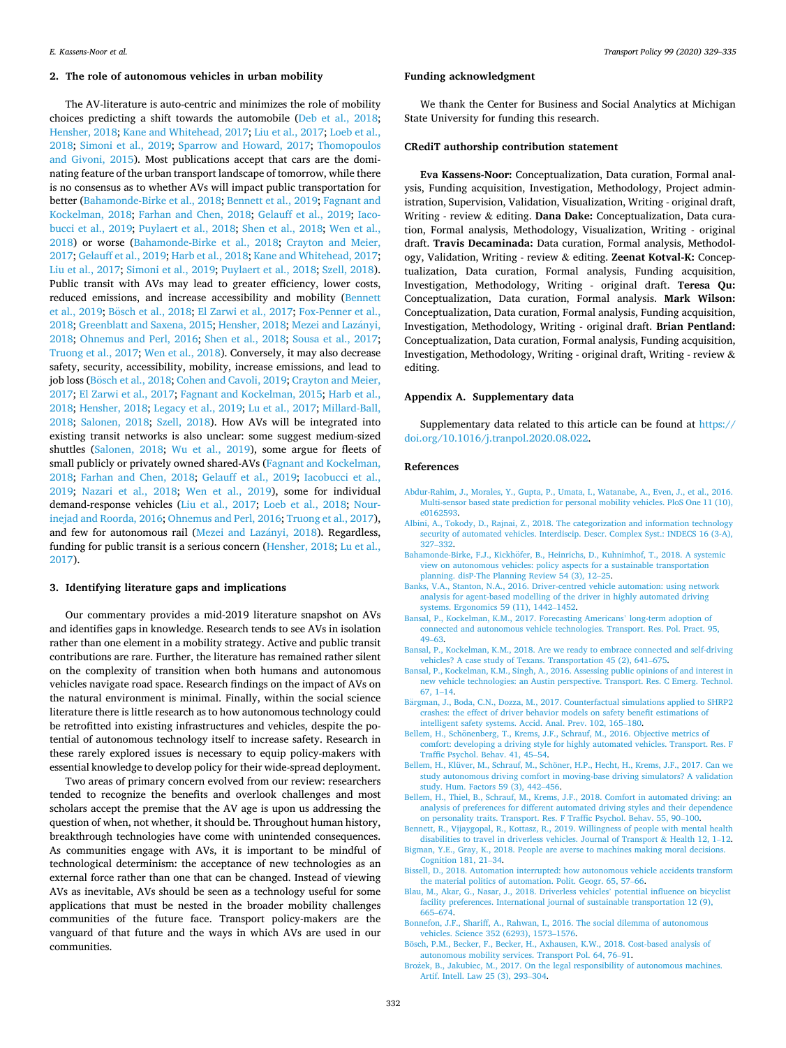# <span id="page-3-0"></span>**2. The role of autonomous vehicles in urban mobility**

The AV-literature is auto-centric and minimizes the role of mobility choices predicting a shift towards the automobile [\(Deb et al., 2018](#page-4-0); [Hensher, 2018; Kane and Whitehead, 2017;](#page-4-0) [Liu et al., 2017; Loeb et al.,](#page-5-0)  [2018;](#page-5-0) [Simoni et al., 2019](#page-5-0); [Sparrow and Howard, 2017](#page-6-0); [Thomopoulos](#page-6-0)  [and Givoni, 2015](#page-6-0)). Most publications accept that cars are the dominating feature of the urban transport landscape of tomorrow, while there is no consensus as to whether AVs will impact public transportation for better (Bahamonde-Birke et al., 2018; Bennett et al., 2019; [Fagnant and](#page-4-0)  [Kockelman, 2018;](#page-4-0) [Farhan and Chen, 2018](#page-4-0); [Gelauff et al., 2019](#page-4-0); [Iaco](#page-4-0)[bucci et al., 2019](#page-4-0); [Puylaert et al., 2018;](#page-5-0) [Shen et al., 2018;](#page-5-0) [Wen et al.,](#page-6-0)  [2018\)](#page-6-0) or worse (Bahamonde-Birke et al., 2018; [Crayton and Meier,](#page-4-0)  [2017; Gelauff et al., 2019; Harb et al., 2018](#page-4-0); [Kane and Whitehead, 2017](#page-4-0); [Liu et al., 2017](#page-5-0); [Simoni et al., 2019](#page-5-0); [Puylaert et al., 2018;](#page-5-0) [Szell, 2018](#page-6-0)). Public transit with AVs may lead to greater efficiency, lower costs, reduced emissions, and increase accessibility and mobility (Bennett et al., 2019; Bösch et al., 2018; [El Zarwi et al., 2017](#page-4-0); Fox-Penner et al., [2018; Greenblatt and Saxena, 2015](#page-4-0); [Hensher, 2018;](#page-4-0) Mezei and Lazányi, [2018;](#page-5-0) [Ohnemus and Perl, 2016](#page-5-0); [Shen et al., 2018;](#page-5-0) [Sousa et al., 2017](#page-6-0); [Truong et al., 2017](#page-6-0); [Wen et al., 2018](#page-6-0)). Conversely, it may also decrease safety, security, accessibility, mobility, increase emissions, and lead to job loss (Bösch et al., 2018; [Cohen and Cavoli, 2019](#page-4-0); Crayton and Meier, [2017; El Zarwi et al., 2017](#page-4-0); [Fagnant and Kockelman, 2015](#page-4-0); [Harb et al.,](#page-4-0)  [2018; Hensher, 2018;](#page-4-0) [Legacy et al., 2019; Lu et al., 2017; Millard-Ball,](#page-5-0)  [2018;](#page-5-0) [Salonen, 2018](#page-5-0); [Szell, 2018](#page-6-0)). How AVs will be integrated into existing transit networks is also unclear: some suggest medium-sized shuttles ([Salonen, 2018;](#page-5-0) [Wu et al., 2019\)](#page-6-0), some argue for fleets of small publicly or privately owned shared-AVs ([Fagnant and Kockelman,](#page-4-0)  [2018;](#page-4-0) [Farhan and Chen, 2018;](#page-4-0) [Gelauff et al., 2019;](#page-4-0) [Iacobucci et al.,](#page-4-0)  [2019;](#page-4-0) [Nazari et al., 2018](#page-5-0); [Wen et al., 2019\)](#page-6-0), some for individual demand-response vehicles [\(Liu et al., 2017](#page-5-0); [Loeb et al., 2018;](#page-5-0) [Nour](#page-5-0)[inejad and Roorda, 2016](#page-5-0); [Ohnemus and Perl, 2016](#page-5-0); [Truong et al., 2017](#page-6-0)), and few for autonomous rail ([Mezei and Laz](#page-5-0)ányi, 2018). Regardless, funding for public transit is a serious concern [\(Hensher, 2018;](#page-4-0) [Lu et al.,](#page-5-0)  [2017\)](#page-5-0).

#### **3. Identifying literature gaps and implications**

Our commentary provides a mid-2019 literature snapshot on AVs and identifies gaps in knowledge. Research tends to see AVs in isolation rather than one element in a mobility strategy. Active and public transit contributions are rare. Further, the literature has remained rather silent on the complexity of transition when both humans and autonomous vehicles navigate road space. Research findings on the impact of AVs on the natural environment is minimal. Finally, within the social science literature there is little research as to how autonomous technology could be retrofitted into existing infrastructures and vehicles, despite the potential of autonomous technology itself to increase safety. Research in these rarely explored issues is necessary to equip policy-makers with essential knowledge to develop policy for their wide-spread deployment.

Two areas of primary concern evolved from our review: researchers tended to recognize the benefits and overlook challenges and most scholars accept the premise that the AV age is upon us addressing the question of when, not whether, it should be. Throughout human history, breakthrough technologies have come with unintended consequences. As communities engage with AVs, it is important to be mindful of technological determinism: the acceptance of new technologies as an external force rather than one that can be changed. Instead of viewing AVs as inevitable, AVs should be seen as a technology useful for some applications that must be nested in the broader mobility challenges communities of the future face. Transport policy-makers are the vanguard of that future and the ways in which AVs are used in our communities.

## **Funding acknowledgment**

We thank the Center for Business and Social Analytics at Michigan State University for funding this research.

## **CRediT authorship contribution statement**

**Eva Kassens-Noor:** Conceptualization, Data curation, Formal analysis, Funding acquisition, Investigation, Methodology, Project administration, Supervision, Validation, Visualization, Writing - original draft, Writing - review & editing. **Dana Dake:** Conceptualization, Data curation, Formal analysis, Methodology, Visualization, Writing - original draft. **Travis Decaminada:** Data curation, Formal analysis, Methodology, Validation, Writing - review & editing. **Zeenat Kotval-K:** Conceptualization, Data curation, Formal analysis, Funding acquisition, Investigation, Methodology, Writing - original draft. **Teresa Qu:**  Conceptualization, Data curation, Formal analysis. **Mark Wilson:**  Conceptualization, Data curation, Formal analysis, Funding acquisition, Investigation, Methodology, Writing - original draft. **Brian Pentland:**  Conceptualization, Data curation, Formal analysis, Funding acquisition, Investigation, Methodology, Writing - original draft, Writing - review & editing.

#### **Appendix A. Supplementary data**

Supplementary data related to this article can be found at [https://](https://doi.org/10.1016/j.tranpol.2020.08.022)  [doi.org/10.1016/j.tranpol.2020.08.022.](https://doi.org/10.1016/j.tranpol.2020.08.022)

#### **References**

- [Abdur-Rahim, J., Morales, Y., Gupta, P., Umata, I., Watanabe, A., Even, J., et al., 2016.](http://refhub.elsevier.com/S0967-070X(20)30329-2/sref1)  [Multi-sensor based state prediction for personal mobility vehicles. PloS One 11 \(10\),](http://refhub.elsevier.com/S0967-070X(20)30329-2/sref1)  [e0162593.](http://refhub.elsevier.com/S0967-070X(20)30329-2/sref1)
- [Albini, A., Tokody, D., Rajnai, Z., 2018. The categorization and information technology](http://refhub.elsevier.com/S0967-070X(20)30329-2/sref2)  security of automated vehicles. Interdiscip. Descr. Complex Syst.: INDECS 16 (3-A), 327–[332](http://refhub.elsevier.com/S0967-070X(20)30329-2/sref2).
- Bahamonde-Birke, F.J., Kickhöfer, [B., Heinrichs, D., Kuhnimhof, T., 2018. A systemic](http://refhub.elsevier.com/S0967-070X(20)30329-2/sref3) [view on autonomous vehicles: policy aspects for a sustainable transportation](http://refhub.elsevier.com/S0967-070X(20)30329-2/sref3)  [planning. disP-The Planning Review 54 \(3\), 12](http://refhub.elsevier.com/S0967-070X(20)30329-2/sref3)–25.
- [Banks, V.A., Stanton, N.A., 2016. Driver-centred vehicle automation: using network](http://refhub.elsevier.com/S0967-070X(20)30329-2/sref4) [analysis for agent-based modelling of the driver in highly automated driving](http://refhub.elsevier.com/S0967-070X(20)30329-2/sref4) [systems. Ergonomics 59 \(11\), 1442](http://refhub.elsevier.com/S0967-070X(20)30329-2/sref4)–1452.
- [Bansal, P., Kockelman, K.M., 2017. Forecasting Americans](http://refhub.elsevier.com/S0967-070X(20)30329-2/sref5)' long-term adoption of [connected and autonomous vehicle technologies. Transport. Res. Pol. Pract. 95,](http://refhub.elsevier.com/S0967-070X(20)30329-2/sref5) 49–[63](http://refhub.elsevier.com/S0967-070X(20)30329-2/sref5).
- [Bansal, P., Kockelman, K.M., 2018. Are we ready to embrace connected and self-driving](http://refhub.elsevier.com/S0967-070X(20)30329-2/sref6)  [vehicles? A case study of Texans. Transportation 45 \(2\), 641](http://refhub.elsevier.com/S0967-070X(20)30329-2/sref6)–675.
- [Bansal, P., Kockelman, K.M., Singh, A., 2016. Assessing public opinions of and interest in](http://refhub.elsevier.com/S0967-070X(20)30329-2/sref7)  [new vehicle technologies: an Austin perspective. Transport. Res. C Emerg. Technol.](http://refhub.elsevier.com/S0967-070X(20)30329-2/sref7)  [67, 1](http://refhub.elsevier.com/S0967-070X(20)30329-2/sref7)–14.
- Bärgman, J., Boda, C.N., Dozza, M., 2017. Counterfactual simulations applied to SHRP2 [crashes: the effect of driver behavior models on safety benefit estimations of](http://refhub.elsevier.com/S0967-070X(20)30329-2/sref8) [intelligent safety systems. Accid. Anal. Prev. 102, 165](http://refhub.elsevier.com/S0967-070X(20)30329-2/sref8)–180.
- Bellem, H., Schönenberg, T., Krems, J.F., Schrauf, M., 2016. Objective metrics of [comfort: developing a driving style for highly automated vehicles. Transport. Res. F](http://refhub.elsevier.com/S0967-070X(20)30329-2/sref9)  [Traffic Psychol. Behav. 41, 45](http://refhub.elsevier.com/S0967-070X(20)30329-2/sref9)–54.
- Bellem, H., Klüver, M., Schrauf, M., Schöner, H.P., Hecht, H., Krems, J.F., 2017. Can we [study autonomous driving comfort in moving-base driving simulators? A validation](http://refhub.elsevier.com/S0967-070X(20)30329-2/sref10)  [study. Hum. Factors 59 \(3\), 442](http://refhub.elsevier.com/S0967-070X(20)30329-2/sref10)–456.
- [Bellem, H., Thiel, B., Schrauf, M., Krems, J.F., 2018. Comfort in automated driving: an](http://refhub.elsevier.com/S0967-070X(20)30329-2/sref11)  [analysis of preferences for different automated driving styles and their dependence](http://refhub.elsevier.com/S0967-070X(20)30329-2/sref11)  [on personality traits. Transport. Res. F Traffic Psychol. Behav. 55, 90](http://refhub.elsevier.com/S0967-070X(20)30329-2/sref11)–100.
- [Bennett, R., Vijaygopal, R., Kottasz, R., 2019. Willingness of people with mental health](http://refhub.elsevier.com/S0967-070X(20)30329-2/sref12)  [disabilities to travel in driverless vehicles. Journal of Transport](http://refhub.elsevier.com/S0967-070X(20)30329-2/sref12) & Health 12, 1–12. [Bigman, Y.E., Gray, K., 2018. People are averse to machines making moral decisions.](http://refhub.elsevier.com/S0967-070X(20)30329-2/sref13)
- [Cognition 181, 21](http://refhub.elsevier.com/S0967-070X(20)30329-2/sref13)–34. [Bissell, D., 2018. Automation interrupted: how autonomous vehicle accidents transform](http://refhub.elsevier.com/S0967-070X(20)30329-2/sref14)
- [the material politics of automation. Polit. Geogr. 65, 57](http://refhub.elsevier.com/S0967-070X(20)30329-2/sref14)–66. [Blau, M., Akar, G., Nasar, J., 2018. Driverless vehicles](http://refhub.elsevier.com/S0967-070X(20)30329-2/sref15)' potential influence on bicyclist
- [facility preferences. International journal of sustainable transportation 12 \(9\),](http://refhub.elsevier.com/S0967-070X(20)30329-2/sref15)  665–[674](http://refhub.elsevier.com/S0967-070X(20)30329-2/sref15). [Bonnefon, J.F., Shariff, A., Rahwan, I., 2016. The social dilemma of autonomous](http://refhub.elsevier.com/S0967-070X(20)30329-2/sref16)
- [vehicles. Science 352 \(6293\), 1573](http://refhub.elsevier.com/S0967-070X(20)30329-2/sref16)–1576.
- Bösch, P.M., Becker, F., Becker, H., Axhausen, K.W., 2018. Cost-based analysis of [autonomous mobility services. Transport Pol. 64, 76](http://refhub.elsevier.com/S0967-070X(20)30329-2/sref17)–91.
- Brozek, B., Jakubiec, M., 2017. On the legal responsibility of autonomous machines. [Artif. Intell. Law 25 \(3\), 293](http://refhub.elsevier.com/S0967-070X(20)30329-2/sref18)–304.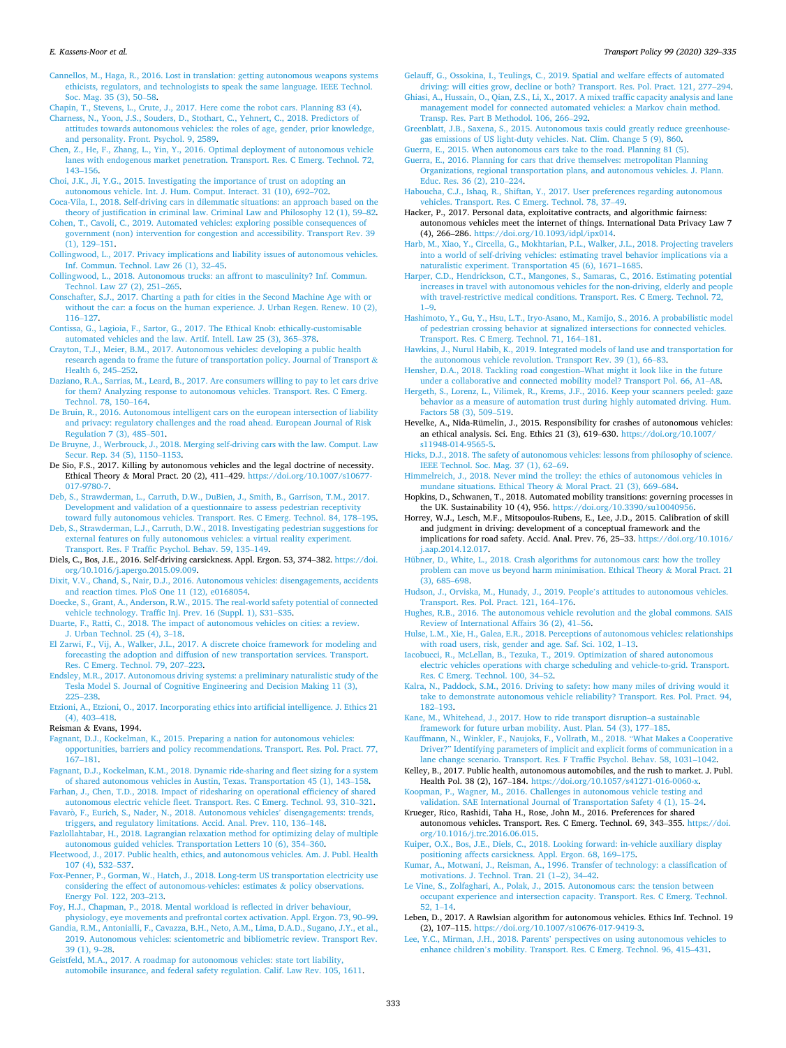#### <span id="page-4-0"></span>*E. Kassens-Noor et al.*

[Cannellos, M., Haga, R., 2016. Lost in translation: getting autonomous weapons systems](http://refhub.elsevier.com/S0967-070X(20)30329-2/sref19)  [ethicists, regulators, and technologists to speak the same language. IEEE Technol.](http://refhub.elsevier.com/S0967-070X(20)30329-2/sref19)  [Soc. Mag. 35 \(3\), 50](http://refhub.elsevier.com/S0967-070X(20)30329-2/sref19)–58.

[Chapin, T., Stevens, L., Crute, J., 2017. Here come the robot cars. Planning 83 \(4\).](http://refhub.elsevier.com/S0967-070X(20)30329-2/sref20)

- [Charness, N., Yoon, J.S., Souders, D., Stothart, C., Yehnert, C., 2018. Predictors of](http://refhub.elsevier.com/S0967-070X(20)30329-2/sref21) [attitudes towards autonomous vehicles: the roles of age, gender, prior knowledge,](http://refhub.elsevier.com/S0967-070X(20)30329-2/sref21)  [and personality. Front. Psychol. 9, 2589.](http://refhub.elsevier.com/S0967-070X(20)30329-2/sref21)
- [Chen, Z., He, F., Zhang, L., Yin, Y., 2016. Optimal deployment of autonomous vehicle](http://refhub.elsevier.com/S0967-070X(20)30329-2/sref22) [lanes with endogenous market penetration. Transport. Res. C Emerg. Technol. 72,](http://refhub.elsevier.com/S0967-070X(20)30329-2/sref22)  143–[156](http://refhub.elsevier.com/S0967-070X(20)30329-2/sref22).
- [Choi, J.K., Ji, Y.G., 2015. Investigating the importance of trust on adopting an](http://refhub.elsevier.com/S0967-070X(20)30329-2/sref23) [autonomous vehicle. Int. J. Hum. Comput. Interact. 31 \(10\), 692](http://refhub.elsevier.com/S0967-070X(20)30329-2/sref23)–702.
- [Coca-Vila, I., 2018. Self-driving cars in dilemmatic situations: an approach based on the](http://refhub.elsevier.com/S0967-070X(20)30329-2/sref24)  [theory of justification in criminal law. Criminal Law and Philosophy 12 \(1\), 59](http://refhub.elsevier.com/S0967-070X(20)30329-2/sref24)–82.
- [Cohen, T., Cavoli, C., 2019. Automated vehicles: exploring possible consequences of](http://refhub.elsevier.com/S0967-070X(20)30329-2/sref25)  [government \(non\) intervention for congestion and accessibility. Transport Rev. 39](http://refhub.elsevier.com/S0967-070X(20)30329-2/sref25) [\(1\), 129](http://refhub.elsevier.com/S0967-070X(20)30329-2/sref25)–151.
- [Collingwood, L., 2017. Privacy implications and liability issues of autonomous vehicles.](http://refhub.elsevier.com/S0967-070X(20)30329-2/sref26)  [Inf. Commun. Technol. Law 26 \(1\), 32](http://refhub.elsevier.com/S0967-070X(20)30329-2/sref26)–45.
- [Collingwood, L., 2018. Autonomous trucks: an affront to masculinity? Inf. Commun.](http://refhub.elsevier.com/S0967-070X(20)30329-2/sref27) [Technol. Law 27 \(2\), 251](http://refhub.elsevier.com/S0967-070X(20)30329-2/sref27)–265.
- [Conschafter, S.J., 2017. Charting a path for cities in the Second Machine Age with or](http://refhub.elsevier.com/S0967-070X(20)30329-2/sref28)  [without the car: a focus on the human experience. J. Urban Regen. Renew. 10 \(2\),](http://refhub.elsevier.com/S0967-070X(20)30329-2/sref28)  116–[127](http://refhub.elsevier.com/S0967-070X(20)30329-2/sref28).
- [Contissa, G., Lagioia, F., Sartor, G., 2017. The Ethical Knob: ethically-customisable](http://refhub.elsevier.com/S0967-070X(20)30329-2/sref29) [automated vehicles and the law. Artif. Intell. Law 25 \(3\), 365](http://refhub.elsevier.com/S0967-070X(20)30329-2/sref29)–378.
- [Crayton, T.J., Meier, B.M., 2017. Autonomous vehicles: developing a public health](http://refhub.elsevier.com/S0967-070X(20)30329-2/sref30)  [research agenda to frame the future of transportation policy. Journal of Transport](http://refhub.elsevier.com/S0967-070X(20)30329-2/sref30) & [Health 6, 245](http://refhub.elsevier.com/S0967-070X(20)30329-2/sref30)–252.
- [Daziano, R.A., Sarrias, M., Leard, B., 2017. Are consumers willing to pay to let cars drive](http://refhub.elsevier.com/S0967-070X(20)30329-2/sref31)  [for them? Analyzing response to autonomous vehicles. Transport. Res. C Emerg.](http://refhub.elsevier.com/S0967-070X(20)30329-2/sref31) [Technol. 78, 150](http://refhub.elsevier.com/S0967-070X(20)30329-2/sref31)–164.
- [De Bruin, R., 2016. Autonomous intelligent cars on the european intersection of liability](http://refhub.elsevier.com/S0967-070X(20)30329-2/sref32)  [and privacy: regulatory challenges and the road ahead. European Journal of Risk](http://refhub.elsevier.com/S0967-070X(20)30329-2/sref32) [Regulation 7 \(3\), 485](http://refhub.elsevier.com/S0967-070X(20)30329-2/sref32)–501.
- [De Bruyne, J., Werbrouck, J., 2018. Merging self-driving cars with the law. Comput. Law](http://refhub.elsevier.com/S0967-070X(20)30329-2/sref33)  [Secur. Rep. 34 \(5\), 1150](http://refhub.elsevier.com/S0967-070X(20)30329-2/sref33)–1153.
- De Sio, F.S., 2017. Killing by autonomous vehicles and the legal doctrine of necessity. Ethical Theory & Moral Pract. 20 (2), 411–429. [https://doi.org/10.1007/s10677-](https://doi.org/10.1007/s10677-017-9780-7) [017-9780-7](https://doi.org/10.1007/s10677-017-9780-7).
- [Deb, S., Strawderman, L., Carruth, D.W., DuBien, J., Smith, B., Garrison, T.M., 2017.](http://refhub.elsevier.com/S0967-070X(20)30329-2/sref35) [Development and validation of a questionnaire to assess pedestrian receptivity](http://refhub.elsevier.com/S0967-070X(20)30329-2/sref35)  [toward fully autonomous vehicles. Transport. Res. C Emerg. Technol. 84, 178](http://refhub.elsevier.com/S0967-070X(20)30329-2/sref35)–195.
- [Deb, S., Strawderman, L.J., Carruth, D.W., 2018. Investigating pedestrian suggestions for](http://refhub.elsevier.com/S0967-070X(20)30329-2/sref36)  [external features on fully autonomous vehicles: a virtual reality experiment.](http://refhub.elsevier.com/S0967-070X(20)30329-2/sref36)  [Transport. Res. F Traffic Psychol. Behav. 59, 135](http://refhub.elsevier.com/S0967-070X(20)30329-2/sref36)–149.
- Diels, C., Bos, J.E., 2016. Self-driving carsickness. Appl. Ergon. 53, 374–382. [https://doi.](https://doi.org/10.1016/j.apergo.2015.09.009)  [org/10.1016/j.apergo.2015.09.009.](https://doi.org/10.1016/j.apergo.2015.09.009)
- [Dixit, V.V., Chand, S., Nair, D.J., 2016. Autonomous vehicles: disengagements, accidents](http://refhub.elsevier.com/S0967-070X(20)30329-2/sref38)  [and reaction times. PloS One 11 \(12\), e0168054.](http://refhub.elsevier.com/S0967-070X(20)30329-2/sref38)
- [Doecke, S., Grant, A., Anderson, R.W., 2015. The real-world safety potential of connected](http://refhub.elsevier.com/S0967-070X(20)30329-2/sref39)  [vehicle technology. Traffic Inj. Prev. 16 \(Suppl. 1\), S31](http://refhub.elsevier.com/S0967-070X(20)30329-2/sref39)–S35.
- [Duarte, F., Ratti, C., 2018. The impact of autonomous vehicles on cities: a review.](http://refhub.elsevier.com/S0967-070X(20)30329-2/sref40)  [J. Urban Technol. 25 \(4\), 3](http://refhub.elsevier.com/S0967-070X(20)30329-2/sref40)–18.
- [El Zarwi, F., Vij, A., Walker, J.L., 2017. A discrete choice framework for modeling and](http://refhub.elsevier.com/S0967-070X(20)30329-2/sref41)  [forecasting the adoption and diffusion of new transportation services. Transport.](http://refhub.elsevier.com/S0967-070X(20)30329-2/sref41)  [Res. C Emerg. Technol. 79, 207](http://refhub.elsevier.com/S0967-070X(20)30329-2/sref41)–223.
- [Endsley, M.R., 2017. Autonomous driving systems: a preliminary naturalistic study of the](http://refhub.elsevier.com/S0967-070X(20)30329-2/sref42)  [Tesla Model S. Journal of Cognitive Engineering and Decision Making 11 \(3\),](http://refhub.elsevier.com/S0967-070X(20)30329-2/sref42) 225–[238](http://refhub.elsevier.com/S0967-070X(20)30329-2/sref42).
- [Etzioni, A., Etzioni, O., 2017. Incorporating ethics into artificial intelligence. J. Ethics 21](http://refhub.elsevier.com/S0967-070X(20)30329-2/sref43)  [\(4\), 403](http://refhub.elsevier.com/S0967-070X(20)30329-2/sref43)–418.

## Reisman & Evans, 1994.

- [Fagnant, D.J., Kockelman, K., 2015. Preparing a nation for autonomous vehicles:](http://refhub.elsevier.com/S0967-070X(20)30329-2/sref45)  [opportunities, barriers and policy recommendations. Transport. Res. Pol. Pract. 77,](http://refhub.elsevier.com/S0967-070X(20)30329-2/sref45)  167–[181](http://refhub.elsevier.com/S0967-070X(20)30329-2/sref45).
- [Fagnant, D.J., Kockelman, K.M., 2018. Dynamic ride-sharing and fleet sizing for a system](http://refhub.elsevier.com/S0967-070X(20)30329-2/sref46)  [of shared autonomous vehicles in Austin, Texas. Transportation 45 \(1\), 143](http://refhub.elsevier.com/S0967-070X(20)30329-2/sref46)–158.
- [Farhan, J., Chen, T.D., 2018. Impact of ridesharing on operational efficiency of shared](http://refhub.elsevier.com/S0967-070X(20)30329-2/sref47)  [autonomous electric vehicle fleet. Transport. Res. C Emerg. Technol. 93, 310](http://refhub.elsevier.com/S0967-070X(20)30329-2/sref47)–321.
- Favarò, [F., Eurich, S., Nader, N., 2018. Autonomous vehicles](http://refhub.elsevier.com/S0967-070X(20)30329-2/sref48)' disengagements: trends, [triggers, and regulatory limitations. Accid. Anal. Prev. 110, 136](http://refhub.elsevier.com/S0967-070X(20)30329-2/sref48)–148.
- [Fazlollahtabar, H., 2018. Lagrangian relaxation method for optimizing delay of multiple](http://refhub.elsevier.com/S0967-070X(20)30329-2/sref49)  [autonomous guided vehicles. Transportation Letters 10 \(6\), 354](http://refhub.elsevier.com/S0967-070X(20)30329-2/sref49)–360.
- [Fleetwood, J., 2017. Public health, ethics, and autonomous vehicles. Am. J. Publ. Health](http://refhub.elsevier.com/S0967-070X(20)30329-2/sref50)  [107 \(4\), 532](http://refhub.elsevier.com/S0967-070X(20)30329-2/sref50)–537.
- [Fox-Penner, P., Gorman, W., Hatch, J., 2018. Long-term US transportation electricity use](http://refhub.elsevier.com/S0967-070X(20)30329-2/sref51)  [considering the effect of autonomous-vehicles: estimates](http://refhub.elsevier.com/S0967-070X(20)30329-2/sref51) & policy observations. [Energy Pol. 122, 203](http://refhub.elsevier.com/S0967-070X(20)30329-2/sref51)–213.
- [Foy, H.J., Chapman, P., 2018. Mental workload is reflected in driver behaviour,](http://refhub.elsevier.com/S0967-070X(20)30329-2/sref52) [physiology, eye movements and prefrontal cortex activation. Appl. Ergon. 73, 90](http://refhub.elsevier.com/S0967-070X(20)30329-2/sref52)–99.
- [Gandia, R.M., Antonialli, F., Cavazza, B.H., Neto, A.M., Lima, D.A.D., Sugano, J.Y., et al.,](http://refhub.elsevier.com/S0967-070X(20)30329-2/sref53)  [2019. Autonomous vehicles: scientometric and bibliometric review. Transport Rev.](http://refhub.elsevier.com/S0967-070X(20)30329-2/sref53)
- [39 \(1\), 9](http://refhub.elsevier.com/S0967-070X(20)30329-2/sref53)–28. [Geistfeld, M.A., 2017. A roadmap for autonomous vehicles: state tort liability,](http://refhub.elsevier.com/S0967-070X(20)30329-2/sref54)  [automobile insurance, and federal safety regulation. Calif. Law Rev. 105, 1611.](http://refhub.elsevier.com/S0967-070X(20)30329-2/sref54)

[Gelauff, G., Ossokina, I., Teulings, C., 2019. Spatial and welfare effects of automated](http://refhub.elsevier.com/S0967-070X(20)30329-2/sref55) [driving: will cities grow, decline or both? Transport. Res. Pol. Pract. 121, 277](http://refhub.elsevier.com/S0967-070X(20)30329-2/sref55)–294.

- [Ghiasi, A., Hussain, O., Qian, Z.S., Li, X., 2017. A mixed traffic capacity analysis and lane](http://refhub.elsevier.com/S0967-070X(20)30329-2/sref56)  [management model for connected automated vehicles: a Markov chain method.](http://refhub.elsevier.com/S0967-070X(20)30329-2/sref56) [Transp. Res. Part B Methodol. 106, 266](http://refhub.elsevier.com/S0967-070X(20)30329-2/sref56)–292.
- [Greenblatt, J.B., Saxena, S., 2015. Autonomous taxis could greatly reduce greenhouse](http://refhub.elsevier.com/S0967-070X(20)30329-2/sref57)[gas emissions of US light-duty vehicles. Nat. Clim. Change 5 \(9\), 860](http://refhub.elsevier.com/S0967-070X(20)30329-2/sref57).
- [Guerra, E., 2015. When autonomous cars take to the road. Planning 81 \(5\).](http://refhub.elsevier.com/S0967-070X(20)30329-2/sref58) [Guerra, E., 2016. Planning for cars that drive themselves: metropolitan Planning](http://refhub.elsevier.com/S0967-070X(20)30329-2/sref59)  [Organizations, regional transportation plans, and autonomous vehicles. J. Plann.](http://refhub.elsevier.com/S0967-070X(20)30329-2/sref59)  [Educ. Res. 36 \(2\), 210](http://refhub.elsevier.com/S0967-070X(20)30329-2/sref59)–224.
- [Haboucha, C.J., Ishaq, R., Shiftan, Y., 2017. User preferences regarding autonomous](http://refhub.elsevier.com/S0967-070X(20)30329-2/sref60) [vehicles. Transport. Res. C Emerg. Technol. 78, 37](http://refhub.elsevier.com/S0967-070X(20)30329-2/sref60)–49.
- Hacker, P., 2017. Personal data, exploitative contracts, and algorithmic fairness: autonomous vehicles meet the internet of things. International Data Privacy Law 7 (4), 266–286. [https://doi.org/10.1093/idpl/ipx014.](https://doi.org/10.1093/idpl/ipx014)
- [Harb, M., Xiao, Y., Circella, G., Mokhtarian, P.L., Walker, J.L., 2018. Projecting travelers](http://refhub.elsevier.com/S0967-070X(20)30329-2/sref62)  [into a world of self-driving vehicles: estimating travel behavior implications via a](http://refhub.elsevier.com/S0967-070X(20)30329-2/sref62)  [naturalistic experiment. Transportation 45 \(6\), 1671](http://refhub.elsevier.com/S0967-070X(20)30329-2/sref62)–1685.
- [Harper, C.D., Hendrickson, C.T., Mangones, S., Samaras, C., 2016. Estimating potential](http://refhub.elsevier.com/S0967-070X(20)30329-2/sref63)  [increases in travel with autonomous vehicles for the non-driving, elderly and people](http://refhub.elsevier.com/S0967-070X(20)30329-2/sref63)  [with travel-restrictive medical conditions. Transport. Res. C Emerg. Technol. 72,](http://refhub.elsevier.com/S0967-070X(20)30329-2/sref63) 1–[9.](http://refhub.elsevier.com/S0967-070X(20)30329-2/sref63)
- [Hashimoto, Y., Gu, Y., Hsu, L.T., Iryo-Asano, M., Kamijo, S., 2016. A probabilistic model](http://refhub.elsevier.com/S0967-070X(20)30329-2/sref64)  [of pedestrian crossing behavior at signalized intersections for connected vehicles.](http://refhub.elsevier.com/S0967-070X(20)30329-2/sref64)  [Transport. Res. C Emerg. Technol. 71, 164](http://refhub.elsevier.com/S0967-070X(20)30329-2/sref64)–181.
- [Hawkins, J., Nurul Habib, K., 2019. Integrated models of land use and transportation for](http://refhub.elsevier.com/S0967-070X(20)30329-2/sref65)  [the autonomous vehicle revolution. Transport Rev. 39 \(1\), 66](http://refhub.elsevier.com/S0967-070X(20)30329-2/sref65)–83.
- [Hensher, D.A., 2018. Tackling road congestion](http://refhub.elsevier.com/S0967-070X(20)30329-2/sref66)–What might it look like in the future [under a collaborative and connected mobility model? Transport Pol. 66, A1](http://refhub.elsevier.com/S0967-070X(20)30329-2/sref66)–A8.
- [Hergeth, S., Lorenz, L., Vilimek, R., Krems, J.F., 2016. Keep your scanners peeled: gaze](http://refhub.elsevier.com/S0967-070X(20)30329-2/sref67)  [behavior as a measure of automation trust during highly automated driving. Hum.](http://refhub.elsevier.com/S0967-070X(20)30329-2/sref67) [Factors 58 \(3\), 509](http://refhub.elsevier.com/S0967-070X(20)30329-2/sref67)–519.
- Hevelke, A., Nida-Rümelin, J., 2015. Responsibility for crashes of autonomous vehicles: an ethical analysis. Sci. Eng. Ethics 21 (3), 619–630. [https://doi.org/10.1007/](https://doi.org/10.1007/s11948-014-9565-5)  [s11948-014-9565-5.](https://doi.org/10.1007/s11948-014-9565-5)
- [Hicks, D.J., 2018. The safety of autonomous vehicles: lessons from philosophy of science.](http://refhub.elsevier.com/S0967-070X(20)30329-2/sref69)  [IEEE Technol. Soc. Mag. 37 \(1\), 62](http://refhub.elsevier.com/S0967-070X(20)30329-2/sref69)–69.
- [Himmelreich, J., 2018. Never mind the trolley: the ethics of autonomous vehicles in](http://refhub.elsevier.com/S0967-070X(20)30329-2/sref70)  [mundane situations. Ethical Theory](http://refhub.elsevier.com/S0967-070X(20)30329-2/sref70) & Moral Pract. 21 (3), 669–684.
- Hopkins, D., Schwanen, T., 2018. Automated mobility transitions: governing processes in the UK. Sustainability 10 (4), 956. [https://doi.org/10.3390/su10040956.](https://doi.org/10.3390/su10040956)
- Horrey, W.J., Lesch, M.F., Mitsopoulos-Rubens, E., Lee, J.D., 2015. Calibration of skill and judgment in driving: development of a conceptual framework and the implications for road safety. Accid. Anal. Prev. 76, 25–33. [https://doi.org/10.1016/](https://doi.org/10.1016/j.aap.2014.12.017)  [j.aap.2014.12.017.](https://doi.org/10.1016/j.aap.2014.12.017)
- [Hübner, D., White, L., 2018. Crash algorithms for autonomous cars: how the trolley](http://refhub.elsevier.com/S0967-070X(20)30329-2/sref73) [problem can move us beyond harm minimisation. Ethical Theory](http://refhub.elsevier.com/S0967-070X(20)30329-2/sref73) & Moral Pract. 21 [\(3\), 685](http://refhub.elsevier.com/S0967-070X(20)30329-2/sref73)–698.
- [Hudson, J., Orviska, M., Hunady, J., 2019. People](http://refhub.elsevier.com/S0967-070X(20)30329-2/sref74)'s attitudes to autonomous vehicles. [Transport. Res. Pol. Pract. 121, 164](http://refhub.elsevier.com/S0967-070X(20)30329-2/sref74)–176.
- [Hughes, R.B., 2016. The autonomous vehicle revolution and the global commons. SAIS](http://refhub.elsevier.com/S0967-070X(20)30329-2/sref75) [Review of International Affairs 36 \(2\), 41](http://refhub.elsevier.com/S0967-070X(20)30329-2/sref75)–56.
- [Hulse, L.M., Xie, H., Galea, E.R., 2018. Perceptions of autonomous vehicles: relationships](http://refhub.elsevier.com/S0967-070X(20)30329-2/sref76)  [with road users, risk, gender and age. Saf. Sci. 102, 1](http://refhub.elsevier.com/S0967-070X(20)30329-2/sref76)–13.
- [Iacobucci, R., McLellan, B., Tezuka, T., 2019. Optimization of shared autonomous](http://refhub.elsevier.com/S0967-070X(20)30329-2/sref77) [electric vehicles operations with charge scheduling and vehicle-to-grid. Transport.](http://refhub.elsevier.com/S0967-070X(20)30329-2/sref77)  [Res. C Emerg. Technol. 100, 34](http://refhub.elsevier.com/S0967-070X(20)30329-2/sref77)–52.
- [Kalra, N., Paddock, S.M., 2016. Driving to safety: how many miles of driving would it](http://refhub.elsevier.com/S0967-070X(20)30329-2/sref78)  [take to demonstrate autonomous vehicle reliability? Transport. Res. Pol. Pract. 94,](http://refhub.elsevier.com/S0967-070X(20)30329-2/sref78)  182–[193](http://refhub.elsevier.com/S0967-070X(20)30329-2/sref78).
- [Kane, M., Whitehead, J., 2017. How to ride transport disruption](http://refhub.elsevier.com/S0967-070X(20)30329-2/sref79)–a sustainable [framework for future urban mobility. Aust. Plan. 54 \(3\), 177](http://refhub.elsevier.com/S0967-070X(20)30329-2/sref79)–185.

[Kauffmann, N., Winkler, F., Naujoks, F., Vollrath, M., 2018.](http://refhub.elsevier.com/S0967-070X(20)30329-2/sref80) "What Makes a Cooperative Driver?" [Identifying parameters of implicit and explicit forms of communication in a](http://refhub.elsevier.com/S0967-070X(20)30329-2/sref80)  [lane change scenario. Transport. Res. F Traffic Psychol. Behav. 58, 1031](http://refhub.elsevier.com/S0967-070X(20)30329-2/sref80)–1042.

- Kelley, B., 2017. Public health, autonomous automobiles, and the rush to market. J. Publ. Health Pol. 38 (2), 167–184. <https://doi.org/10.1057/s41271-016-0060-x>.
- [Koopman, P., Wagner, M., 2016. Challenges in autonomous vehicle testing and](http://refhub.elsevier.com/S0967-070X(20)30329-2/sref82)  [validation. SAE International Journal of Transportation Safety 4 \(1\), 15](http://refhub.elsevier.com/S0967-070X(20)30329-2/sref82)–24.
- Krueger, Rico, Rashidi, Taha H., Rose, John M., 2016. Preferences for shared autonomous vehicles. Transport. Res. C Emerg. Technol. 69, 343–355. [https://doi.](https://doi.org/10.1016/j.trc.2016.06.015) [org/10.1016/j.trc.2016.06.015](https://doi.org/10.1016/j.trc.2016.06.015).
- [Kuiper, O.X., Bos, J.E., Diels, C., 2018. Looking forward: in-vehicle auxiliary display](http://refhub.elsevier.com/S0967-070X(20)30329-2/sref84) [positioning affects carsickness. Appl. Ergon. 68, 169](http://refhub.elsevier.com/S0967-070X(20)30329-2/sref84)–175.
- [Kumar, A., Motwani, J., Reisman, A., 1996. Transfer of technology: a classification of](http://refhub.elsevier.com/S0967-070X(20)30329-2/sref85)  [motivations. J. Technol. Tran. 21 \(1](http://refhub.elsevier.com/S0967-070X(20)30329-2/sref85)–2), 34–42.
- [Le Vine, S., Zolfaghari, A., Polak, J., 2015. Autonomous cars: the tension between](http://refhub.elsevier.com/S0967-070X(20)30329-2/sref86) [occupant experience and intersection capacity. Transport. Res. C Emerg. Technol.](http://refhub.elsevier.com/S0967-070X(20)30329-2/sref86)  [52, 1](http://refhub.elsevier.com/S0967-070X(20)30329-2/sref86)–14.
- Leben, D., 2017. A Rawlsian algorithm for autonomous vehicles. Ethics Inf. Technol. 19 (2), 107–115. [https://doi.org/10.1007/s10676-017-9419-3.](https://doi.org/10.1007/s10676-017-9419-3)
- Lee, Y.C., Mirman, J.H., 2018. Parents' [perspectives on using autonomous vehicles to](http://refhub.elsevier.com/S0967-070X(20)30329-2/sref88)  enhance children'[s mobility. Transport. Res. C Emerg. Technol. 96, 415](http://refhub.elsevier.com/S0967-070X(20)30329-2/sref88)–431.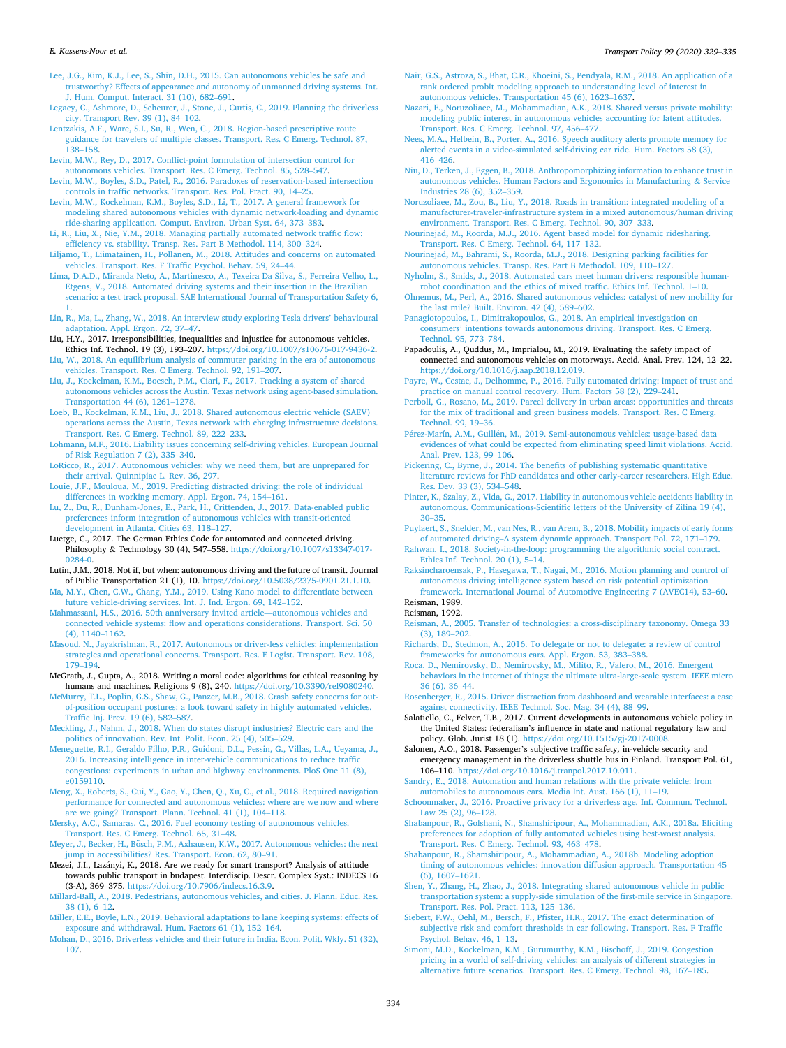#### <span id="page-5-0"></span>*E. Kassens-Noor et al.*

[Lee, J.G., Kim, K.J., Lee, S., Shin, D.H., 2015. Can autonomous vehicles be safe and](http://refhub.elsevier.com/S0967-070X(20)30329-2/sref89)  [trustworthy? Effects of appearance and autonomy of unmanned driving systems. Int.](http://refhub.elsevier.com/S0967-070X(20)30329-2/sref89)  [J. Hum. Comput. Interact. 31 \(10\), 682](http://refhub.elsevier.com/S0967-070X(20)30329-2/sref89)–691.

[Legacy, C., Ashmore, D., Scheurer, J., Stone, J., Curtis, C., 2019. Planning the driverless](http://refhub.elsevier.com/S0967-070X(20)30329-2/sref90)  [city. Transport Rev. 39 \(1\), 84](http://refhub.elsevier.com/S0967-070X(20)30329-2/sref90)–102.

- [Lentzakis, A.F., Ware, S.I., Su, R., Wen, C., 2018. Region-based prescriptive route](http://refhub.elsevier.com/S0967-070X(20)30329-2/sref91) [guidance for travelers of multiple classes. Transport. Res. C Emerg. Technol. 87,](http://refhub.elsevier.com/S0967-070X(20)30329-2/sref91)  138–[158](http://refhub.elsevier.com/S0967-070X(20)30329-2/sref91).
- [Levin, M.W., Rey, D., 2017. Conflict-point formulation of intersection control for](http://refhub.elsevier.com/S0967-070X(20)30329-2/sref92)  [autonomous vehicles. Transport. Res. C Emerg. Technol. 85, 528](http://refhub.elsevier.com/S0967-070X(20)30329-2/sref92)–547.
- [Levin, M.W., Boyles, S.D., Patel, R., 2016. Paradoxes of reservation-based intersection](http://refhub.elsevier.com/S0967-070X(20)30329-2/sref93)  [controls in traffic networks. Transport. Res. Pol. Pract. 90, 14](http://refhub.elsevier.com/S0967-070X(20)30329-2/sref93)–25.
- [Levin, M.W., Kockelman, K.M., Boyles, S.D., Li, T., 2017. A general framework for](http://refhub.elsevier.com/S0967-070X(20)30329-2/sref94)  [modeling shared autonomous vehicles with dynamic network-loading and dynamic](http://refhub.elsevier.com/S0967-070X(20)30329-2/sref94)  [ride-sharing application. Comput. Environ. Urban Syst. 64, 373](http://refhub.elsevier.com/S0967-070X(20)30329-2/sref94)–383.
- [Li, R., Liu, X., Nie, Y.M., 2018. Managing partially automated network traffic flow:](http://refhub.elsevier.com/S0967-070X(20)30329-2/sref95) [efficiency vs. stability. Transp. Res. Part B Methodol. 114, 300](http://refhub.elsevier.com/S0967-070X(20)30329-2/sref95)–324.
- Liljamo, T., Liimatainen, H., Pöllänen, M., 2018. Attitudes and concerns on automated [vehicles. Transport. Res. F Traffic Psychol. Behav. 59, 24](http://refhub.elsevier.com/S0967-070X(20)30329-2/sref96)–44.
- [Lima, D.A.D., Miranda Neto, A., Martinesco, A., Texeira Da Silva, S., Ferreira Velho, L.,](http://refhub.elsevier.com/S0967-070X(20)30329-2/sref97)  [Etgens, V., 2018. Automated driving systems and their insertion in the Brazilian](http://refhub.elsevier.com/S0967-070X(20)30329-2/sref97)  [scenario: a test track proposal. SAE International Journal of Transportation Safety 6,](http://refhub.elsevier.com/S0967-070X(20)30329-2/sref97)
- [1](http://refhub.elsevier.com/S0967-070X(20)30329-2/sref97). [Lin, R., Ma, L., Zhang, W., 2018. An interview study exploring Tesla drivers](http://refhub.elsevier.com/S0967-070X(20)30329-2/sref98)' behavioural [adaptation. Appl. Ergon. 72, 37](http://refhub.elsevier.com/S0967-070X(20)30329-2/sref98)–47.
- Liu, H.Y., 2017. Irresponsibilities, inequalities and injustice for autonomous vehicles. Ethics Inf. Technol. 19 (3), 193–207. <https://doi.org/10.1007/s10676-017-9436-2>.
- [Liu, W., 2018. An equilibrium analysis of commuter parking in the era of autonomous](http://refhub.elsevier.com/S0967-070X(20)30329-2/sref100) [vehicles. Transport. Res. C Emerg. Technol. 92, 191](http://refhub.elsevier.com/S0967-070X(20)30329-2/sref100)–207. [Liu, J., Kockelman, K.M., Boesch, P.M., Ciari, F., 2017. Tracking a system of shared](http://refhub.elsevier.com/S0967-070X(20)30329-2/sref101)
- [autonomous vehicles across the Austin, Texas network using agent-based simulation.](http://refhub.elsevier.com/S0967-070X(20)30329-2/sref101)  [Transportation 44 \(6\), 1261](http://refhub.elsevier.com/S0967-070X(20)30329-2/sref101)–1278.
- [Loeb, B., Kockelman, K.M., Liu, J., 2018. Shared autonomous electric vehicle \(SAEV\)](http://refhub.elsevier.com/S0967-070X(20)30329-2/sref102) [operations across the Austin, Texas network with charging infrastructure decisions.](http://refhub.elsevier.com/S0967-070X(20)30329-2/sref102)  [Transport. Res. C Emerg. Technol. 89, 222](http://refhub.elsevier.com/S0967-070X(20)30329-2/sref102)–233.
- [Lohmann, M.F., 2016. Liability issues concerning self-driving vehicles. European Journal](http://refhub.elsevier.com/S0967-070X(20)30329-2/sref103)  [of Risk Regulation 7 \(2\), 335](http://refhub.elsevier.com/S0967-070X(20)30329-2/sref103)–340.
- [LoRicco, R., 2017. Autonomous vehicles: why we need them, but are unprepared for](http://refhub.elsevier.com/S0967-070X(20)30329-2/sref104)  [their arrival. Quinnipiac L. Rev. 36, 297.](http://refhub.elsevier.com/S0967-070X(20)30329-2/sref104)
- [Louie, J.F., Mouloua, M., 2019. Predicting distracted driving: the role of individual](http://refhub.elsevier.com/S0967-070X(20)30329-2/sref105) [differences in working memory. Appl. Ergon. 74, 154](http://refhub.elsevier.com/S0967-070X(20)30329-2/sref105)–161.
- [Lu, Z., Du, R., Dunham-Jones, E., Park, H., Crittenden, J., 2017. Data-enabled public](http://refhub.elsevier.com/S0967-070X(20)30329-2/sref106)  [preferences inform integration of autonomous vehicles with transit-oriented](http://refhub.elsevier.com/S0967-070X(20)30329-2/sref106) [development in Atlanta. Cities 63, 118](http://refhub.elsevier.com/S0967-070X(20)30329-2/sref106)–127.
- Luetge, C., 2017. The German Ethics Code for automated and connected driving. Philosophy & Technology 30 (4), 547–558. [https://doi.org/10.1007/s13347-017-](https://doi.org/10.1007/s13347-017-0284-0) [0284-0.](https://doi.org/10.1007/s13347-017-0284-0)
- Lutin, J.M., 2018. Not if, but when: autonomous driving and the future of transit. Journal of Public Transportation 21 (1), 10. <https://doi.org/10.5038/2375-0901.21.1.10>.
- [Ma, M.Y., Chen, C.W., Chang, Y.M., 2019. Using Kano model to differentiate between](http://refhub.elsevier.com/S0967-070X(20)30329-2/sref109)  [future vehicle-driving services. Int. J. Ind. Ergon. 69, 142](http://refhub.elsevier.com/S0967-070X(20)30329-2/sref109)–152.
- [Mahmassani, H.S., 2016. 50th anniversary invited article](http://refhub.elsevier.com/S0967-070X(20)30329-2/sref110)—autonomous vehicles and [connected vehicle systems: flow and operations considerations. Transport. Sci. 50](http://refhub.elsevier.com/S0967-070X(20)30329-2/sref110) [\(4\), 1140](http://refhub.elsevier.com/S0967-070X(20)30329-2/sref110)–1162.
- [Masoud, N., Jayakrishnan, R., 2017. Autonomous or driver-less vehicles: implementation](http://refhub.elsevier.com/S0967-070X(20)30329-2/sref111)  [strategies and operational concerns. Transport. Res. E Logist. Transport. Rev. 108,](http://refhub.elsevier.com/S0967-070X(20)30329-2/sref111)  179–[194](http://refhub.elsevier.com/S0967-070X(20)30329-2/sref111).
- McGrath, J., Gupta, A., 2018. Writing a moral code: algorithms for ethical reasoning by humans and machines. Religions 9 (8), 240. [https://doi.org/10.3390/rel9080240.](https://doi.org/10.3390/rel9080240)
- [McMurry, T.L., Poplin, G.S., Shaw, G., Panzer, M.B., 2018. Crash safety concerns for out](http://refhub.elsevier.com/S0967-070X(20)30329-2/sref113)[of-position occupant postures: a look toward safety in highly automated vehicles.](http://refhub.elsevier.com/S0967-070X(20)30329-2/sref113)  [Traffic Inj. Prev. 19 \(6\), 582](http://refhub.elsevier.com/S0967-070X(20)30329-2/sref113)–587.
- [Meckling, J., Nahm, J., 2018. When do states disrupt industries? Electric cars and the](http://refhub.elsevier.com/S0967-070X(20)30329-2/sref114)  [politics of innovation. Rev. Int. Polit. Econ. 25 \(4\), 505](http://refhub.elsevier.com/S0967-070X(20)30329-2/sref114)–529.
- [Meneguette, R.I., Geraldo Filho, P.R., Guidoni, D.L., Pessin, G., Villas, L.A., Ueyama, J.,](http://refhub.elsevier.com/S0967-070X(20)30329-2/sref115)  [2016. Increasing intelligence in inter-vehicle communications to reduce traffic](http://refhub.elsevier.com/S0967-070X(20)30329-2/sref115) [congestions: experiments in urban and highway environments. PloS One 11 \(8\),](http://refhub.elsevier.com/S0967-070X(20)30329-2/sref115)  [e0159110.](http://refhub.elsevier.com/S0967-070X(20)30329-2/sref115)
- [Meng, X., Roberts, S., Cui, Y., Gao, Y., Chen, Q., Xu, C., et al., 2018. Required navigation](http://refhub.elsevier.com/S0967-070X(20)30329-2/sref116)  [performance for connected and autonomous vehicles: where are we now and where](http://refhub.elsevier.com/S0967-070X(20)30329-2/sref116)  [are we going? Transport. Plann. Technol. 41 \(1\), 104](http://refhub.elsevier.com/S0967-070X(20)30329-2/sref116)–118.
- [Mersky, A.C., Samaras, C., 2016. Fuel economy testing of autonomous vehicles.](http://refhub.elsevier.com/S0967-070X(20)30329-2/sref117)  [Transport. Res. C Emerg. Technol. 65, 31](http://refhub.elsevier.com/S0967-070X(20)30329-2/sref117)–48.
- Meyer, J., Becker, H., Bösch, P.M., Axhausen, K.W., 2017. Autonomous vehicles: the next [jump in accessibilities? Res. Transport. Econ. 62, 80](http://refhub.elsevier.com/S0967-070X(20)30329-2/sref118)–91.
- Mezei, J.I., Lazányi, K., 2018. Are we ready for smart transport? Analysis of attitude towards public transport in budapest. Interdiscip. Descr. Complex Syst.: INDECS 16 (3-A), 369–375. <https://doi.org/10.7906/indecs.16.3.9>.
- [Millard-Ball, A., 2018. Pedestrians, autonomous vehicles, and cities. J. Plann. Educ. Res.](http://refhub.elsevier.com/S0967-070X(20)30329-2/sref120)  [38 \(1\), 6](http://refhub.elsevier.com/S0967-070X(20)30329-2/sref120)–12.
- [Miller, E.E., Boyle, L.N., 2019. Behavioral adaptations to lane keeping systems: effects of](http://refhub.elsevier.com/S0967-070X(20)30329-2/sref121)  [exposure and withdrawal. Hum. Factors 61 \(1\), 152](http://refhub.elsevier.com/S0967-070X(20)30329-2/sref121)–164.
- [Mohan, D., 2016. Driverless vehicles and their future in India. Econ. Polit. Wkly. 51 \(32\),](http://refhub.elsevier.com/S0967-070X(20)30329-2/sref122)  [107](http://refhub.elsevier.com/S0967-070X(20)30329-2/sref122).
- [Nair, G.S., Astroza, S., Bhat, C.R., Khoeini, S., Pendyala, R.M., 2018. An application of a](http://refhub.elsevier.com/S0967-070X(20)30329-2/sref123)  [rank ordered probit modeling approach to understanding level of interest in](http://refhub.elsevier.com/S0967-070X(20)30329-2/sref123) [autonomous vehicles. Transportation 45 \(6\), 1623](http://refhub.elsevier.com/S0967-070X(20)30329-2/sref123)–1637.
- [Nazari, F., Noruzoliaee, M., Mohammadian, A.K., 2018. Shared versus private mobility:](http://refhub.elsevier.com/S0967-070X(20)30329-2/sref124)  [modeling public interest in autonomous vehicles accounting for latent attitudes.](http://refhub.elsevier.com/S0967-070X(20)30329-2/sref124) [Transport. Res. C Emerg. Technol. 97, 456](http://refhub.elsevier.com/S0967-070X(20)30329-2/sref124)–477.
- [Nees, M.A., Helbein, B., Porter, A., 2016. Speech auditory alerts promote memory for](http://refhub.elsevier.com/S0967-070X(20)30329-2/sref125) [alerted events in a video-simulated self-driving car ride. Hum. Factors 58 \(3\),](http://refhub.elsevier.com/S0967-070X(20)30329-2/sref125) 416–[426](http://refhub.elsevier.com/S0967-070X(20)30329-2/sref125).
- [Niu, D., Terken, J., Eggen, B., 2018. Anthropomorphizing information to enhance trust in](http://refhub.elsevier.com/S0967-070X(20)30329-2/sref126)  [autonomous vehicles. Human Factors and Ergonomics in Manufacturing](http://refhub.elsevier.com/S0967-070X(20)30329-2/sref126) & Service [Industries 28 \(6\), 352](http://refhub.elsevier.com/S0967-070X(20)30329-2/sref126)–359.
- [Noruzoliaee, M., Zou, B., Liu, Y., 2018. Roads in transition: integrated modeling of a](http://refhub.elsevier.com/S0967-070X(20)30329-2/sref127)  [manufacturer-traveler-infrastructure system in a mixed autonomous/human driving](http://refhub.elsevier.com/S0967-070X(20)30329-2/sref127)  [environment. Transport. Res. C Emerg. Technol. 90, 307](http://refhub.elsevier.com/S0967-070X(20)30329-2/sref127)–333.
- [Nourinejad, M., Roorda, M.J., 2016. Agent based model for dynamic ridesharing.](http://refhub.elsevier.com/S0967-070X(20)30329-2/sref128)  [Transport. Res. C Emerg. Technol. 64, 117](http://refhub.elsevier.com/S0967-070X(20)30329-2/sref128)–132.
- [Nourinejad, M., Bahrami, S., Roorda, M.J., 2018. Designing parking facilities for](http://refhub.elsevier.com/S0967-070X(20)30329-2/sref129)  [autonomous vehicles. Transp. Res. Part B Methodol. 109, 110](http://refhub.elsevier.com/S0967-070X(20)30329-2/sref129)–127.
- [Nyholm, S., Smids, J., 2018. Automated cars meet human drivers: responsible human](http://refhub.elsevier.com/S0967-070X(20)30329-2/sref130)[robot coordination and the ethics of mixed traffic. Ethics Inf. Technol. 1](http://refhub.elsevier.com/S0967-070X(20)30329-2/sref130)–10.
- [Ohnemus, M., Perl, A., 2016. Shared autonomous vehicles: catalyst of new mobility for](http://refhub.elsevier.com/S0967-070X(20)30329-2/sref131)  [the last mile? Built. Environ. 42 \(4\), 589](http://refhub.elsevier.com/S0967-070X(20)30329-2/sref131)–602.
- [Panagiotopoulos, I., Dimitrakopoulos, G., 2018. An empirical investigation on](http://refhub.elsevier.com/S0967-070X(20)30329-2/sref132)  consumers' [intentions towards autonomous driving. Transport. Res. C Emerg.](http://refhub.elsevier.com/S0967-070X(20)30329-2/sref132)  [Technol. 95, 773](http://refhub.elsevier.com/S0967-070X(20)30329-2/sref132)–784.
- Papadoulis, A., Quddus, M., Imprialou, M., 2019. Evaluating the safety impact of connected and autonomous vehicles on motorways. Accid. Anal. Prev. 124, 12–22. [https://doi.org/10.1016/j.aap.2018.12.019.](https://doi.org/10.1016/j.aap.2018.12.019)
- Payre, W., Cestac, J., Delhomme, P., 2016. Fully automated driving: impact of trust and [practice on manual control recovery. Hum. Factors 58 \(2\), 229](http://refhub.elsevier.com/S0967-070X(20)30329-2/sref134)–241.
- [Perboli, G., Rosano, M., 2019. Parcel delivery in urban areas: opportunities and threats](http://refhub.elsevier.com/S0967-070X(20)30329-2/sref135)  [for the mix of traditional and green business models. Transport. Res. C Emerg.](http://refhub.elsevier.com/S0967-070X(20)30329-2/sref135) [Technol. 99, 19](http://refhub.elsevier.com/S0967-070X(20)30329-2/sref135)–36.
- Pérez-Marín, A.M., Guillén, M., 2019. Semi-autonomous vehicles: usage-based data [evidences of what could be expected from eliminating speed limit violations. Accid.](http://refhub.elsevier.com/S0967-070X(20)30329-2/sref136)  [Anal. Prev. 123, 99](http://refhub.elsevier.com/S0967-070X(20)30329-2/sref136)–106.
- [Pickering, C., Byrne, J., 2014. The benefits of publishing systematic quantitative](http://refhub.elsevier.com/S0967-070X(20)30329-2/sref137) [literature reviews for PhD candidates and other early-career researchers. High Educ.](http://refhub.elsevier.com/S0967-070X(20)30329-2/sref137)  [Res. Dev. 33 \(3\), 534](http://refhub.elsevier.com/S0967-070X(20)30329-2/sref137)–548.
- [Pinter, K., Szalay, Z., Vida, G., 2017. Liability in autonomous vehicle accidents liability in](http://refhub.elsevier.com/S0967-070X(20)30329-2/sref138)  [autonomous. Communications-Scientific letters of the University of Zilina 19 \(4\),](http://refhub.elsevier.com/S0967-070X(20)30329-2/sref138)  30–[35](http://refhub.elsevier.com/S0967-070X(20)30329-2/sref138).
- [Puylaert, S., Snelder, M., van Nes, R., van Arem, B., 2018. Mobility impacts of early forms](http://refhub.elsevier.com/S0967-070X(20)30329-2/sref139)  of automated driving–[A system dynamic approach. Transport Pol. 72, 171](http://refhub.elsevier.com/S0967-070X(20)30329-2/sref139)–179.
- [Rahwan, I., 2018. Society-in-the-loop: programming the algorithmic social contract.](http://refhub.elsevier.com/S0967-070X(20)30329-2/sref140) [Ethics Inf. Technol. 20 \(1\), 5](http://refhub.elsevier.com/S0967-070X(20)30329-2/sref140)–14.
- [Raksincharoensak, P., Hasegawa, T., Nagai, M., 2016. Motion planning and control of](http://refhub.elsevier.com/S0967-070X(20)30329-2/sref141)  [autonomous driving intelligence system based on risk potential optimization](http://refhub.elsevier.com/S0967-070X(20)30329-2/sref141)  [framework. International Journal of Automotive Engineering 7 \(AVEC14\), 53](http://refhub.elsevier.com/S0967-070X(20)30329-2/sref141)–60.
- Reisman, 1989.
- Reisman, 1992.
- [Reisman, A., 2005. Transfer of technologies: a cross-disciplinary taxonomy. Omega 33](http://refhub.elsevier.com/S0967-070X(20)30329-2/sref144)  [\(3\), 189](http://refhub.elsevier.com/S0967-070X(20)30329-2/sref144)–202.
- [Richards, D., Stedmon, A., 2016. To delegate or not to delegate: a review of control](http://refhub.elsevier.com/S0967-070X(20)30329-2/sref145) [frameworks for autonomous cars. Appl. Ergon. 53, 383](http://refhub.elsevier.com/S0967-070X(20)30329-2/sref145)–388.
- [Roca, D., Nemirovsky, D., Nemirovsky, M., Milito, R., Valero, M., 2016. Emergent](http://refhub.elsevier.com/S0967-070X(20)30329-2/sref146)  [behaviors in the internet of things: the ultimate ultra-large-scale system. IEEE micro](http://refhub.elsevier.com/S0967-070X(20)30329-2/sref146)  [36 \(6\), 36](http://refhub.elsevier.com/S0967-070X(20)30329-2/sref146)–44.
- [Rosenberger, R., 2015. Driver distraction from dashboard and wearable interfaces: a case](http://refhub.elsevier.com/S0967-070X(20)30329-2/sref147)  [against connectivity. IEEE Technol. Soc. Mag. 34 \(4\), 88](http://refhub.elsevier.com/S0967-070X(20)30329-2/sref147)–99.
- Salatiello, C., Felver, T.B., 2017. Current developments in autonomous vehicle policy in the United States: federalism's influence in state and national regulatory law and policy. Glob. Jurist 18 (1). <https://doi.org/10.1515/gj-2017-0008>.
- Salonen, A.O., 2018. Passenger's subjective traffic safety, in-vehicle security and emergency management in the driverless shuttle bus in Finland. Transport Pol. 61, 106–110. [https://doi.org/10.1016/j.tranpol.2017.10.011.](https://doi.org/10.1016/j.tranpol.2017.10.011)
- [Sandry, E., 2018. Automation and human relations with the private vehicle: from](http://refhub.elsevier.com/S0967-070X(20)30329-2/sref150)  [automobiles to autonomous cars. Media Int. Aust. 166 \(1\), 11](http://refhub.elsevier.com/S0967-070X(20)30329-2/sref150)–19.
- [Schoonmaker, J., 2016. Proactive privacy for a driverless age. Inf. Commun. Technol.](http://refhub.elsevier.com/S0967-070X(20)30329-2/sref151) [Law 25 \(2\), 96](http://refhub.elsevier.com/S0967-070X(20)30329-2/sref151)–128.
- [Shabanpour, R., Golshani, N., Shamshiripour, A., Mohammadian, A.K., 2018a. Eliciting](http://refhub.elsevier.com/S0967-070X(20)30329-2/sref152)  [preferences for adoption of fully automated vehicles using best-worst analysis.](http://refhub.elsevier.com/S0967-070X(20)30329-2/sref152) [Transport. Res. C Emerg. Technol. 93, 463](http://refhub.elsevier.com/S0967-070X(20)30329-2/sref152)–478.
- [Shabanpour, R., Shamshiripour, A., Mohammadian, A., 2018b. Modeling adoption](http://refhub.elsevier.com/S0967-070X(20)30329-2/sref153) [timing of autonomous vehicles: innovation diffusion approach. Transportation 45](http://refhub.elsevier.com/S0967-070X(20)30329-2/sref153)  [\(6\), 1607](http://refhub.elsevier.com/S0967-070X(20)30329-2/sref153)–1621.
- [Shen, Y., Zhang, H., Zhao, J., 2018. Integrating shared autonomous vehicle in public](http://refhub.elsevier.com/S0967-070X(20)30329-2/sref154) [transportation system: a supply-side simulation of the first-mile service in Singapore.](http://refhub.elsevier.com/S0967-070X(20)30329-2/sref154)  [Transport. Res. Pol. Pract. 113, 125](http://refhub.elsevier.com/S0967-070X(20)30329-2/sref154)–136.
- [Siebert, F.W., Oehl, M., Bersch, F., Pfister, H.R., 2017. The exact determination of](http://refhub.elsevier.com/S0967-070X(20)30329-2/sref155) [subjective risk and comfort thresholds in car following. Transport. Res. F Traffic](http://refhub.elsevier.com/S0967-070X(20)30329-2/sref155)  [Psychol. Behav. 46, 1](http://refhub.elsevier.com/S0967-070X(20)30329-2/sref155)–13.
- [Simoni, M.D., Kockelman, K.M., Gurumurthy, K.M., Bischoff, J., 2019. Congestion](http://refhub.elsevier.com/S0967-070X(20)30329-2/sref156)  [pricing in a world of self-driving vehicles: an analysis of different strategies in](http://refhub.elsevier.com/S0967-070X(20)30329-2/sref156) [alternative future scenarios. Transport. Res. C Emerg. Technol. 98, 167](http://refhub.elsevier.com/S0967-070X(20)30329-2/sref156)–185.